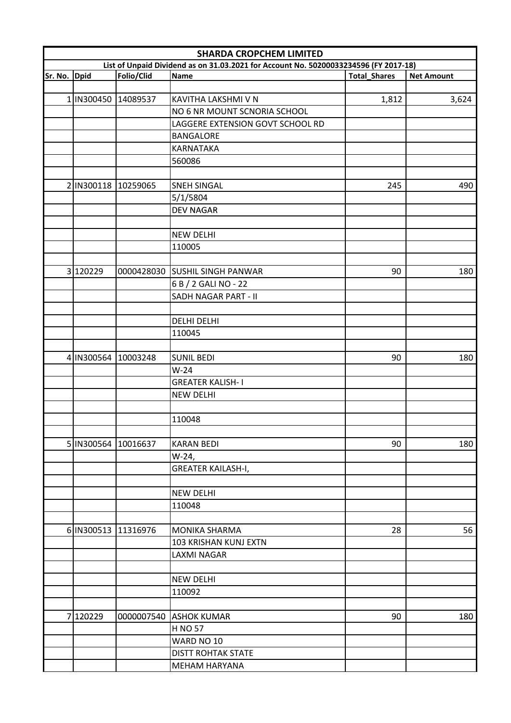|                                                                                                                                       | <b>SHARDA CROPCHEM LIMITED</b> |            |                                  |       |                   |  |  |
|---------------------------------------------------------------------------------------------------------------------------------------|--------------------------------|------------|----------------------------------|-------|-------------------|--|--|
| List of Unpaid Dividend as on 31.03.2021 for Account No. 50200033234596 (FY 2017-18)<br>Sr. No.<br><b>Dpid</b><br><b>Total_Shares</b> |                                |            |                                  |       |                   |  |  |
|                                                                                                                                       |                                | Folio/Clid | <b>Name</b>                      |       | <b>Net Amount</b> |  |  |
|                                                                                                                                       |                                |            |                                  |       |                   |  |  |
|                                                                                                                                       | 1 IN300450 14089537            |            | KAVITHA LAKSHMI V N              | 1,812 | 3,624             |  |  |
|                                                                                                                                       |                                |            | NO 6 NR MOUNT SCNORIA SCHOOL     |       |                   |  |  |
|                                                                                                                                       |                                |            | LAGGERE EXTENSION GOVT SCHOOL RD |       |                   |  |  |
|                                                                                                                                       |                                |            | <b>BANGALORE</b>                 |       |                   |  |  |
|                                                                                                                                       |                                |            | <b>KARNATAKA</b>                 |       |                   |  |  |
|                                                                                                                                       |                                |            | 560086                           |       |                   |  |  |
|                                                                                                                                       |                                |            |                                  |       |                   |  |  |
|                                                                                                                                       | 2 IN300118 10259065            |            | <b>SNEH SINGAL</b>               | 245   | 490               |  |  |
|                                                                                                                                       |                                |            | 5/1/5804                         |       |                   |  |  |
|                                                                                                                                       |                                |            | <b>DEV NAGAR</b>                 |       |                   |  |  |
|                                                                                                                                       |                                |            | <b>NEW DELHI</b>                 |       |                   |  |  |
|                                                                                                                                       |                                |            | 110005                           |       |                   |  |  |
|                                                                                                                                       |                                |            |                                  |       |                   |  |  |
|                                                                                                                                       | 3 120229                       |            | 0000428030 SUSHIL SINGH PANWAR   | 90    | 180               |  |  |
|                                                                                                                                       |                                |            | 6 B / 2 GALI NO - 22             |       |                   |  |  |
|                                                                                                                                       |                                |            | <b>SADH NAGAR PART - II</b>      |       |                   |  |  |
|                                                                                                                                       |                                |            |                                  |       |                   |  |  |
|                                                                                                                                       |                                |            | <b>DELHI DELHI</b>               |       |                   |  |  |
|                                                                                                                                       |                                |            | 110045                           |       |                   |  |  |
|                                                                                                                                       |                                |            |                                  |       |                   |  |  |
|                                                                                                                                       | 4 IN300564                     | 10003248   | <b>SUNIL BEDI</b>                | 90    | 180               |  |  |
|                                                                                                                                       |                                |            | $W-24$                           |       |                   |  |  |
|                                                                                                                                       |                                |            | <b>GREATER KALISH-I</b>          |       |                   |  |  |
|                                                                                                                                       |                                |            | <b>NEW DELHI</b>                 |       |                   |  |  |
|                                                                                                                                       |                                |            |                                  |       |                   |  |  |
|                                                                                                                                       |                                |            | 110048                           |       |                   |  |  |
|                                                                                                                                       |                                |            |                                  |       |                   |  |  |
|                                                                                                                                       | 5 IN300564 10016637            |            | <b>KARAN BEDI</b>                | 90    | 180               |  |  |
|                                                                                                                                       |                                |            | $W-24,$                          |       |                   |  |  |
|                                                                                                                                       |                                |            | <b>GREATER KAILASH-I,</b>        |       |                   |  |  |
|                                                                                                                                       |                                |            |                                  |       |                   |  |  |
|                                                                                                                                       |                                |            | <b>NEW DELHI</b>                 |       |                   |  |  |
|                                                                                                                                       |                                |            | 110048                           |       |                   |  |  |
|                                                                                                                                       |                                |            |                                  |       |                   |  |  |
|                                                                                                                                       | 6 IN300513 11316976            |            | MONIKA SHARMA                    | 28    | 56                |  |  |
|                                                                                                                                       |                                |            | 103 KRISHAN KUNJ EXTN            |       |                   |  |  |
|                                                                                                                                       |                                |            | <b>LAXMI NAGAR</b>               |       |                   |  |  |
|                                                                                                                                       |                                |            |                                  |       |                   |  |  |
|                                                                                                                                       |                                |            | <b>NEW DELHI</b>                 |       |                   |  |  |
|                                                                                                                                       |                                |            | 110092                           |       |                   |  |  |
|                                                                                                                                       |                                |            |                                  |       |                   |  |  |
| $\overline{7}$                                                                                                                        | 120229                         |            | 0000007540 ASHOK KUMAR           | 90    | 180               |  |  |
|                                                                                                                                       |                                |            | <b>H NO 57</b>                   |       |                   |  |  |
|                                                                                                                                       |                                |            | WARD NO 10                       |       |                   |  |  |
|                                                                                                                                       |                                |            | <b>DISTT ROHTAK STATE</b>        |       |                   |  |  |
|                                                                                                                                       |                                |            | <b>MEHAM HARYANA</b>             |       |                   |  |  |
|                                                                                                                                       |                                |            |                                  |       |                   |  |  |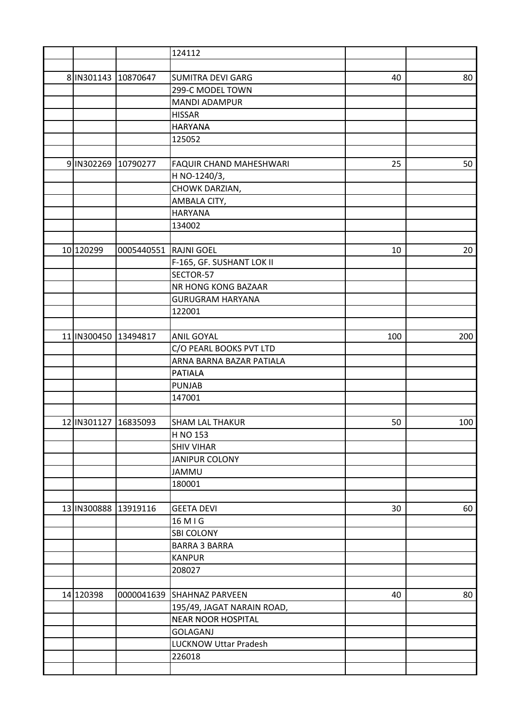|                      |                       | 124112                         |     |     |
|----------------------|-----------------------|--------------------------------|-----|-----|
|                      |                       |                                |     |     |
| 8 IN301143           | 10870647              | <b>SUMITRA DEVI GARG</b>       | 40  | 80  |
|                      |                       | 299-C MODEL TOWN               |     |     |
|                      |                       | <b>MANDI ADAMPUR</b>           |     |     |
|                      |                       | <b>HISSAR</b>                  |     |     |
|                      |                       | <b>HARYANA</b>                 |     |     |
|                      |                       | 125052                         |     |     |
|                      |                       |                                |     |     |
| 9 IN302269           | 10790277              | <b>FAQUIR CHAND MAHESHWARI</b> | 25  | 50  |
|                      |                       | H NO-1240/3,                   |     |     |
|                      |                       | CHOWK DARZIAN,                 |     |     |
|                      |                       | AMBALA CITY,                   |     |     |
|                      |                       | <b>HARYANA</b>                 |     |     |
|                      |                       | 134002                         |     |     |
|                      |                       |                                |     |     |
| 10 120299            | 0005440551 RAJNI GOEL |                                | 10  | 20  |
|                      |                       | F-165, GF. SUSHANT LOK II      |     |     |
|                      |                       | SECTOR-57                      |     |     |
|                      |                       | NR HONG KONG BAZAAR            |     |     |
|                      |                       | <b>GURUGRAM HARYANA</b>        |     |     |
|                      |                       | 122001                         |     |     |
|                      |                       |                                |     |     |
| 11 IN300450 13494817 |                       | <b>ANIL GOYAL</b>              | 100 | 200 |
|                      |                       | C/O PEARL BOOKS PVT LTD        |     |     |
|                      |                       | ARNA BARNA BAZAR PATIALA       |     |     |
|                      |                       | <b>PATIALA</b>                 |     |     |
|                      |                       | <b>PUNJAB</b>                  |     |     |
|                      |                       | 147001                         |     |     |
|                      |                       |                                |     |     |
| 12 IN301127          | 16835093              | <b>SHAM LAL THAKUR</b>         | 50  | 100 |
|                      |                       | H NO 153                       |     |     |
|                      |                       | <b>SHIV VIHAR</b>              |     |     |
|                      |                       | <b>JANIPUR COLONY</b>          |     |     |
|                      |                       | <b>JAMMU</b>                   |     |     |
|                      |                       | 180001                         |     |     |
|                      |                       |                                |     |     |
| 13 IN300888 13919116 |                       | <b>GEETA DEVI</b>              | 30  | 60  |
|                      |                       | 16 M I G                       |     |     |
|                      |                       | <b>SBI COLONY</b>              |     |     |
|                      |                       | <b>BARRA 3 BARRA</b>           |     |     |
|                      |                       | <b>KANPUR</b>                  |     |     |
|                      |                       | 208027                         |     |     |
|                      |                       |                                |     |     |
| 14 120398            |                       | 0000041639 SHAHNAZ PARVEEN     | 40  | 80  |
|                      |                       | 195/49, JAGAT NARAIN ROAD,     |     |     |
|                      |                       | <b>NEAR NOOR HOSPITAL</b>      |     |     |
|                      |                       | <b>GOLAGANJ</b>                |     |     |
|                      |                       | <b>LUCKNOW Uttar Pradesh</b>   |     |     |
|                      |                       | 226018                         |     |     |
|                      |                       |                                |     |     |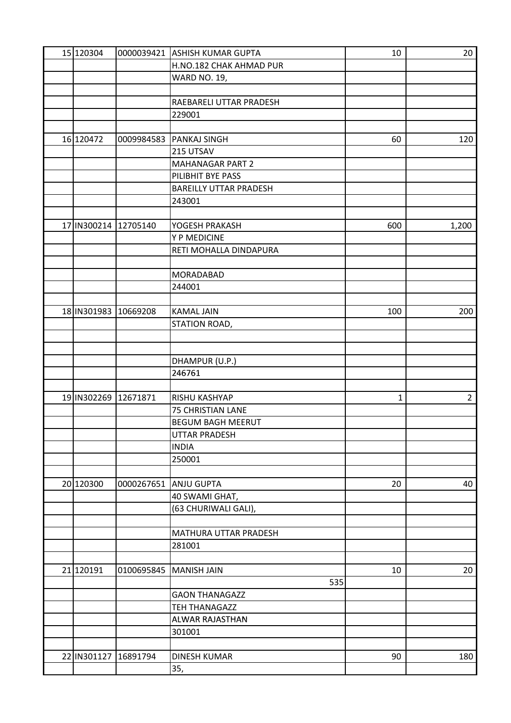| 15 120304   |          | 0000039421 ASHISH KUMAR GUPTA | 10           | 20             |
|-------------|----------|-------------------------------|--------------|----------------|
|             |          | H.NO.182 CHAK AHMAD PUR       |              |                |
|             |          | <b>WARD NO. 19,</b>           |              |                |
|             |          |                               |              |                |
|             |          | RAEBARELI UTTAR PRADESH       |              |                |
|             |          | 229001                        |              |                |
|             |          |                               |              |                |
| 16 120472   |          | 0009984583   PANKAJ SINGH     | 60           | 120            |
|             |          | 215 UTSAV                     |              |                |
|             |          | <b>MAHANAGAR PART 2</b>       |              |                |
|             |          | PILIBHIT BYE PASS             |              |                |
|             |          | <b>BAREILLY UTTAR PRADESH</b> |              |                |
|             |          | 243001                        |              |                |
|             |          |                               |              |                |
| 17 IN300214 | 12705140 | YOGESH PRAKASH                | 600          | 1,200          |
|             |          | Y P MEDICINE                  |              |                |
|             |          | RETI MOHALLA DINDAPURA        |              |                |
|             |          |                               |              |                |
|             |          | <b>MORADABAD</b>              |              |                |
|             |          | 244001                        |              |                |
|             |          |                               |              |                |
| 18 IN301983 | 10669208 | <b>KAMAL JAIN</b>             | 100          | 200            |
|             |          |                               |              |                |
|             |          | STATION ROAD,                 |              |                |
|             |          |                               |              |                |
|             |          |                               |              |                |
|             |          | DHAMPUR (U.P.)                |              |                |
|             |          | 246761                        |              |                |
|             |          |                               |              |                |
| 19 IN302269 | 12671871 | RISHU KASHYAP                 | $\mathbf{1}$ | $\overline{2}$ |
|             |          | 75 CHRISTIAN LANE             |              |                |
|             |          | <b>BEGUM BAGH MEERUT</b>      |              |                |
|             |          | <b>UTTAR PRADESH</b>          |              |                |
|             |          | <b>INDIA</b>                  |              |                |
|             |          | 250001                        |              |                |
|             |          |                               |              |                |
| 20 120300   |          | 0000267651 ANJU GUPTA         | 20           | 40             |
|             |          | 40 SWAMI GHAT,                |              |                |
|             |          | (63 CHURIWALI GALI),          |              |                |
|             |          |                               |              |                |
|             |          | <b>MATHURA UTTAR PRADESH</b>  |              |                |
|             |          | 281001                        |              |                |
|             |          |                               |              |                |
| 21 120191   |          | 0100695845   MANISH JAIN      | 10           | 20             |
|             |          | 535                           |              |                |
|             |          | <b>GAON THANAGAZZ</b>         |              |                |
|             |          | <b>TEH THANAGAZZ</b>          |              |                |
|             |          | <b>ALWAR RAJASTHAN</b>        |              |                |
|             |          | 301001                        |              |                |
|             |          |                               |              |                |
| 22 IN301127 | 16891794 | <b>DINESH KUMAR</b>           | 90           | 180            |
|             |          | 35,                           |              |                |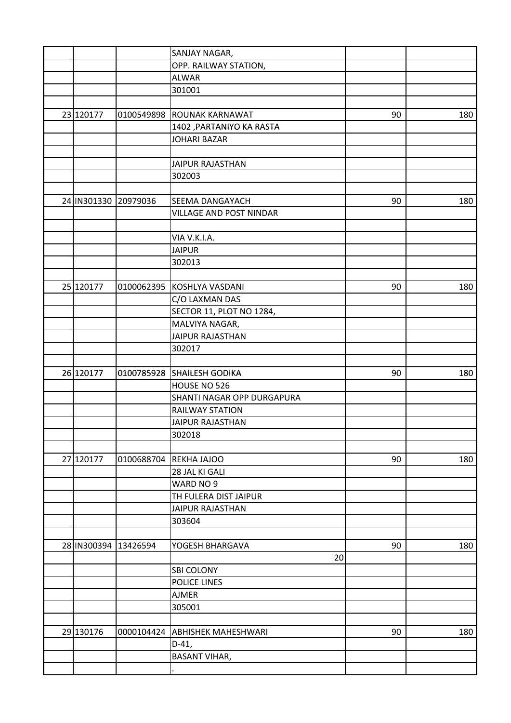|                      |          | SANJAY NAGAR,                              |    |     |
|----------------------|----------|--------------------------------------------|----|-----|
|                      |          | OPP. RAILWAY STATION,                      |    |     |
|                      |          | <b>ALWAR</b>                               |    |     |
|                      |          | 301001                                     |    |     |
|                      |          |                                            |    |     |
| 23 120177            |          | 0100549898 ROUNAK KARNAWAT                 | 90 | 180 |
|                      |          | 1402, PARTANIYO KA RASTA                   |    |     |
|                      |          | <b>JOHARI BAZAR</b>                        |    |     |
|                      |          |                                            |    |     |
|                      |          | <b>JAIPUR RAJASTHAN</b>                    |    |     |
|                      |          | 302003                                     |    |     |
|                      |          |                                            |    |     |
| 24 IN301330 20979036 |          | SEEMA DANGAYACH                            | 90 | 180 |
|                      |          | VILLAGE AND POST NINDAR                    |    |     |
|                      |          |                                            |    |     |
|                      |          | VIA V.K.I.A.                               |    |     |
|                      |          | <b>JAIPUR</b>                              |    |     |
|                      |          | 302013                                     |    |     |
|                      |          |                                            |    |     |
| 25 120177            |          | 0100062395 KOSHLYA VASDANI                 | 90 | 180 |
|                      |          | C/O LAXMAN DAS                             |    |     |
|                      |          |                                            |    |     |
|                      |          | SECTOR 11, PLOT NO 1284,<br>MALVIYA NAGAR, |    |     |
|                      |          | <b>JAIPUR RAJASTHAN</b>                    |    |     |
|                      |          | 302017                                     |    |     |
|                      |          |                                            |    |     |
| 26 120177            |          | 0100785928 SHAILESH GODIKA                 | 90 | 180 |
|                      |          | HOUSE NO 526                               |    |     |
|                      |          | SHANTI NAGAR OPP DURGAPURA                 |    |     |
|                      |          | <b>RAILWAY STATION</b>                     |    |     |
|                      |          | <b>JAIPUR RAJASTHAN</b>                    |    |     |
|                      |          |                                            |    |     |
|                      |          | 302018                                     |    |     |
| 27 120177            |          |                                            | 90 |     |
|                      |          | 0100688704 REKHA JAJOO<br>28 JAL KI GALI   |    | 180 |
|                      |          |                                            |    |     |
|                      |          | WARD NO 9                                  |    |     |
|                      |          | TH FULERA DIST JAIPUR                      |    |     |
|                      |          | <b>JAIPUR RAJASTHAN</b>                    |    |     |
|                      |          | 303604                                     |    |     |
|                      |          |                                            |    |     |
| 28 IN300394          | 13426594 | YOGESH BHARGAVA                            | 90 | 180 |
|                      |          | 20                                         |    |     |
|                      |          | <b>SBI COLONY</b>                          |    |     |
|                      |          | <b>POLICE LINES</b>                        |    |     |
|                      |          | <b>AJMER</b>                               |    |     |
|                      |          | 305001                                     |    |     |
|                      |          |                                            |    |     |
| 29 130176            |          | 0000104424 ABHISHEK MAHESHWARI             | 90 | 180 |
|                      |          | $D-41,$                                    |    |     |
|                      |          | <b>BASANT VIHAR,</b>                       |    |     |
|                      |          |                                            |    |     |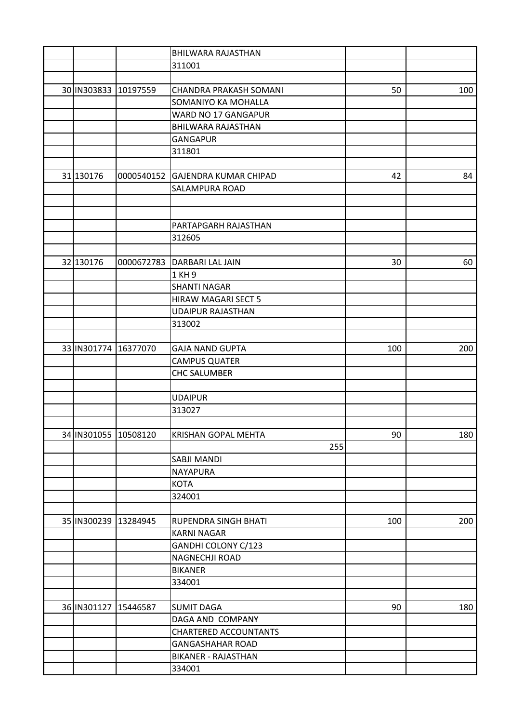|                      |          | <b>BHILWARA RAJASTHAN</b>        |     |     |
|----------------------|----------|----------------------------------|-----|-----|
|                      |          | 311001                           |     |     |
|                      |          |                                  |     |     |
| 30 IN303833 10197559 |          | <b>CHANDRA PRAKASH SOMANI</b>    | 50  | 100 |
|                      |          | SOMANIYO KA MOHALLA              |     |     |
|                      |          | WARD NO 17 GANGAPUR              |     |     |
|                      |          | <b>BHILWARA RAJASTHAN</b>        |     |     |
|                      |          | <b>GANGAPUR</b>                  |     |     |
|                      |          | 311801                           |     |     |
|                      |          |                                  |     |     |
| 31 130176            |          | 0000540152 GAJENDRA KUMAR CHIPAD | 42  | 84  |
|                      |          | <b>SALAMPURA ROAD</b>            |     |     |
|                      |          |                                  |     |     |
|                      |          |                                  |     |     |
|                      |          | PARTAPGARH RAJASTHAN             |     |     |
|                      |          | 312605                           |     |     |
|                      |          |                                  |     |     |
| 32 130176            |          | 0000672783   DARBARI LAL JAIN    | 30  | 60  |
|                      |          | 1 KH 9                           |     |     |
|                      |          | <b>SHANTI NAGAR</b>              |     |     |
|                      |          | HIRAW MAGARI SECT 5              |     |     |
|                      |          | <b>UDAIPUR RAJASTHAN</b>         |     |     |
|                      |          | 313002                           |     |     |
|                      |          |                                  |     |     |
| 33 IN301774          | 16377070 | <b>GAJA NAND GUPTA</b>           | 100 | 200 |
|                      |          | <b>CAMPUS QUATER</b>             |     |     |
|                      |          | <b>CHC SALUMBER</b>              |     |     |
|                      |          |                                  |     |     |
|                      |          | <b>UDAIPUR</b>                   |     |     |
|                      |          | 313027                           |     |     |
|                      |          |                                  |     |     |
| 34 IN301055 10508120 |          | KRISHAN GOPAL MEHTA              | 90  | 180 |
|                      |          | 255                              |     |     |
|                      |          | <b>SABJI MANDI</b>               |     |     |
|                      |          | <b>NAYAPURA</b>                  |     |     |
|                      |          |                                  |     |     |
|                      |          | <b>KOTA</b>                      |     |     |
|                      |          | 324001                           |     |     |
|                      |          |                                  |     |     |
| 35 IN300239 13284945 |          | RUPENDRA SINGH BHATI             | 100 | 200 |
|                      |          | <b>KARNI NAGAR</b>               |     |     |
|                      |          | GANDHI COLONY C/123              |     |     |
|                      |          | <b>NAGNECHJI ROAD</b>            |     |     |
|                      |          | <b>BIKANER</b>                   |     |     |
|                      |          | 334001                           |     |     |
|                      |          |                                  |     |     |
| 36 IN301127          | 15446587 | <b>SUMIT DAGA</b>                | 90  | 180 |
|                      |          | DAGA AND COMPANY                 |     |     |
|                      |          | <b>CHARTERED ACCOUNTANTS</b>     |     |     |
|                      |          | <b>GANGASHAHAR ROAD</b>          |     |     |
|                      |          | <b>BIKANER - RAJASTHAN</b>       |     |     |
|                      |          | 334001                           |     |     |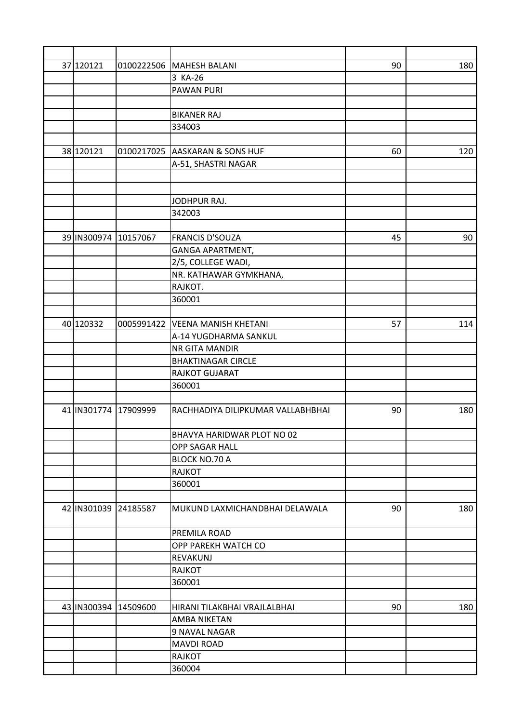| 37 120121            |          | 0100222506 MAHESH BALANI          | 90 | 180 |
|----------------------|----------|-----------------------------------|----|-----|
|                      |          | 3 KA-26                           |    |     |
|                      |          | <b>PAWAN PURI</b>                 |    |     |
|                      |          |                                   |    |     |
|                      |          | <b>BIKANER RAJ</b>                |    |     |
|                      |          | 334003                            |    |     |
|                      |          |                                   |    |     |
| 38 120121            |          | 0100217025 AASKARAN & SONS HUF    | 60 | 120 |
|                      |          | A-51, SHASTRI NAGAR               |    |     |
|                      |          |                                   |    |     |
|                      |          |                                   |    |     |
|                      |          | JODHPUR RAJ.                      |    |     |
|                      |          | 342003                            |    |     |
|                      |          |                                   |    |     |
| 39 IN300974          | 10157067 | <b>FRANCIS D'SOUZA</b>            | 45 | 90  |
|                      |          | GANGA APARTMENT,                  |    |     |
|                      |          | 2/5, COLLEGE WADI,                |    |     |
|                      |          | NR. KATHAWAR GYMKHANA,            |    |     |
|                      |          | RAJKOT.                           |    |     |
|                      |          | 360001                            |    |     |
|                      |          |                                   |    |     |
| 40 120332            |          | 0005991422 VEENA MANISH KHETANI   | 57 | 114 |
|                      |          | A-14 YUGDHARMA SANKUL             |    |     |
|                      |          | <b>NR GITA MANDIR</b>             |    |     |
|                      |          | <b>BHAKTINAGAR CIRCLE</b>         |    |     |
|                      |          | <b>RAJKOT GUJARAT</b>             |    |     |
|                      |          | 360001                            |    |     |
|                      |          |                                   |    |     |
| 41 IN301774 17909999 |          | RACHHADIYA DILIPKUMAR VALLABHBHAI | 90 | 180 |
|                      |          |                                   |    |     |
|                      |          | BHAVYA HARIDWAR PLOT NO 02        |    |     |
|                      |          | OPP SAGAR HALL                    |    |     |
|                      |          | <b>BLOCK NO.70 A</b>              |    |     |
|                      |          | <b>RAJKOT</b>                     |    |     |
|                      |          | 360001                            |    |     |
|                      |          |                                   |    |     |
| 42 IN301039 24185587 |          | MUKUND LAXMICHANDBHAI DELAWALA    | 90 | 180 |
|                      |          | PREMILA ROAD                      |    |     |
|                      |          | OPP PAREKH WATCH CO               |    |     |
|                      |          | REVAKUNJ                          |    |     |
|                      |          | <b>RAJKOT</b>                     |    |     |
|                      |          | 360001                            |    |     |
|                      |          |                                   |    |     |
| 43 IN300394          | 14509600 | HIRANI TILAKBHAI VRAJLALBHAI      | 90 | 180 |
|                      |          | <b>AMBA NIKETAN</b>               |    |     |
|                      |          | 9 NAVAL NAGAR                     |    |     |
|                      |          | <b>MAVDI ROAD</b>                 |    |     |
|                      |          | <b>RAJKOT</b>                     |    |     |
|                      |          | 360004                            |    |     |
|                      |          |                                   |    |     |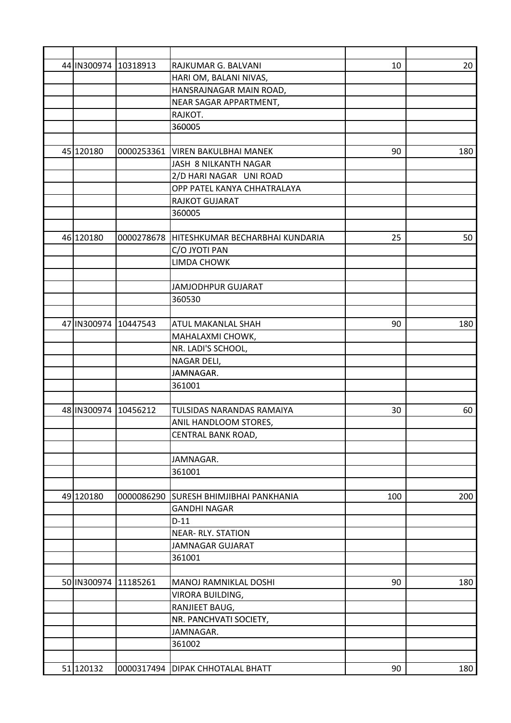| 44 IN300974 10318913 |          | RAJKUMAR G. BALVANI                        | 10  | 20  |
|----------------------|----------|--------------------------------------------|-----|-----|
|                      |          | HARI OM, BALANI NIVAS,                     |     |     |
|                      |          | HANSRAJNAGAR MAIN ROAD,                    |     |     |
|                      |          | NEAR SAGAR APPARTMENT,                     |     |     |
|                      |          | RAJKOT.                                    |     |     |
|                      |          | 360005                                     |     |     |
|                      |          |                                            |     |     |
| 45 120180            |          | 0000253361   VIREN BAKULBHAI MANEK         | 90  | 180 |
|                      |          | JASH 8 NILKANTH NAGAR                      |     |     |
|                      |          | 2/D HARI NAGAR UNI ROAD                    |     |     |
|                      |          | OPP PATEL KANYA CHHATRALAYA                |     |     |
|                      |          | RAJKOT GUJARAT                             |     |     |
|                      |          | 360005                                     |     |     |
|                      |          |                                            |     |     |
| 46 120180            |          | 0000278678 HITESHKUMAR BECHARBHAI KUNDARIA | 25  | 50  |
|                      |          | C/O JYOTI PAN                              |     |     |
|                      |          | <b>LIMDA CHOWK</b>                         |     |     |
|                      |          |                                            |     |     |
|                      |          | <b>JAMJODHPUR GUJARAT</b>                  |     |     |
|                      |          | 360530                                     |     |     |
|                      |          |                                            |     |     |
| 47 IN300974          | 10447543 | <b>ATUL MAKANLAL SHAH</b>                  | 90  | 180 |
|                      |          | MAHALAXMI CHOWK,                           |     |     |
|                      |          | NR. LADI'S SCHOOL,                         |     |     |
|                      |          | NAGAR DELI,                                |     |     |
|                      |          | JAMNAGAR.                                  |     |     |
|                      |          | 361001                                     |     |     |
|                      |          |                                            |     |     |
| 48 IN300974          | 10456212 | TULSIDAS NARANDAS RAMAIYA                  | 30  | 60  |
|                      |          | ANIL HANDLOOM STORES,                      |     |     |
|                      |          | CENTRAL BANK ROAD,                         |     |     |
|                      |          |                                            |     |     |
|                      |          | JAMNAGAR.                                  |     |     |
|                      |          | 361001                                     |     |     |
|                      |          |                                            |     |     |
| 49 120180            |          | 0000086290 SURESH BHIMJIBHAI PANKHANIA     | 100 | 200 |
|                      |          | <b>GANDHI NAGAR</b>                        |     |     |
|                      |          | $D-11$                                     |     |     |
|                      |          | <b>NEAR-RLY. STATION</b>                   |     |     |
|                      |          | <b>JAMNAGAR GUJARAT</b>                    |     |     |
|                      |          |                                            |     |     |
|                      |          | 361001                                     |     |     |
| 50 IN300974          | 11185261 | MANOJ RAMNIKLAL DOSHI                      | 90  | 180 |
|                      |          |                                            |     |     |
|                      |          | VIRORA BUILDING,                           |     |     |
|                      |          | RANJIEET BAUG,                             |     |     |
|                      |          | NR. PANCHVATI SOCIETY,                     |     |     |
|                      |          | JAMNAGAR.                                  |     |     |
|                      |          | 361002                                     |     |     |
|                      |          |                                            |     |     |
| 51 120132            |          | 0000317494   DIPAK CHHOTALAL BHATT         | 90  | 180 |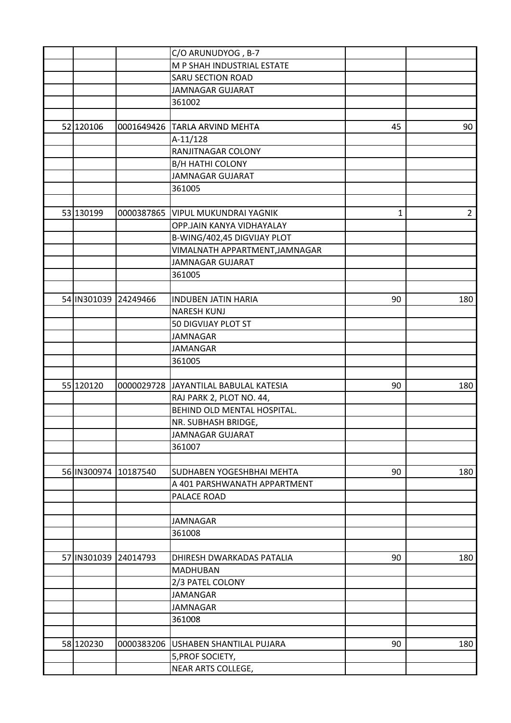|                      |          | C/O ARUNUDYOG, B-7                    |    |                |
|----------------------|----------|---------------------------------------|----|----------------|
|                      |          | M P SHAH INDUSTRIAL ESTATE            |    |                |
|                      |          | <b>SARU SECTION ROAD</b>              |    |                |
|                      |          | <b>JAMNAGAR GUJARAT</b>               |    |                |
|                      |          | 361002                                |    |                |
|                      |          |                                       |    |                |
| 52 120106            |          | 0001649426 TARLA ARVIND MEHTA         | 45 | 90             |
|                      |          | A-11/128                              |    |                |
|                      |          | RANJITNAGAR COLONY                    |    |                |
|                      |          | <b>B/H HATHI COLONY</b>               |    |                |
|                      |          | <b>JAMNAGAR GUJARAT</b>               |    |                |
|                      |          | 361005                                |    |                |
|                      |          |                                       |    |                |
| 53 130199            |          | 0000387865   VIPUL MUKUNDRAI YAGNIK   | 1  | $\overline{2}$ |
|                      |          | OPP.JAIN KANYA VIDHAYALAY             |    |                |
|                      |          | B-WING/402,45 DIGVIJAY PLOT           |    |                |
|                      |          | VIMALNATH APPARTMENT, JAMNAGAR        |    |                |
|                      |          | <b>JAMNAGAR GUJARAT</b>               |    |                |
|                      |          | 361005                                |    |                |
|                      |          |                                       |    |                |
| 54 IN301039 24249466 |          | <b>INDUBEN JATIN HARIA</b>            | 90 | 180            |
|                      |          | <b>NARESH KUNJ</b>                    |    |                |
|                      |          | 50 DIGVIJAY PLOT ST                   |    |                |
|                      |          | <b>JAMNAGAR</b>                       |    |                |
|                      |          | <b>JAMANGAR</b>                       |    |                |
|                      |          | 361005                                |    |                |
|                      |          |                                       |    |                |
| 55 120120            |          | 0000029728 JAYANTILAL BABULAL KATESIA | 90 | 180            |
|                      |          | RAJ PARK 2, PLOT NO. 44,              |    |                |
|                      |          | BEHIND OLD MENTAL HOSPITAL.           |    |                |
|                      |          | NR. SUBHASH BRIDGE,                   |    |                |
|                      |          | JAMNAGAR GUJARAT                      |    |                |
|                      |          | 361007                                |    |                |
|                      |          |                                       |    |                |
| 56 IN300974          | 10187540 | SUDHABEN YOGESHBHAI MEHTA             | 90 | 180            |
|                      |          | A 401 PARSHWANATH APPARTMENT          |    |                |
|                      |          | PALACE ROAD                           |    |                |
|                      |          |                                       |    |                |
|                      |          | <b>JAMNAGAR</b>                       |    |                |
|                      |          | 361008                                |    |                |
|                      |          |                                       |    |                |
| 57 IN301039 24014793 |          | DHIRESH DWARKADAS PATALIA             | 90 | 180            |
|                      |          | <b>MADHUBAN</b>                       |    |                |
|                      |          | 2/3 PATEL COLONY                      |    |                |
|                      |          | <b>JAMANGAR</b>                       |    |                |
|                      |          | <b>JAMNAGAR</b>                       |    |                |
|                      |          | 361008                                |    |                |
|                      |          |                                       |    |                |
| 58 120230            |          | 0000383206   USHABEN SHANTILAL PUJARA | 90 | 180            |
|                      |          | 5, PROF SOCIETY,                      |    |                |
|                      |          | NEAR ARTS COLLEGE,                    |    |                |
|                      |          |                                       |    |                |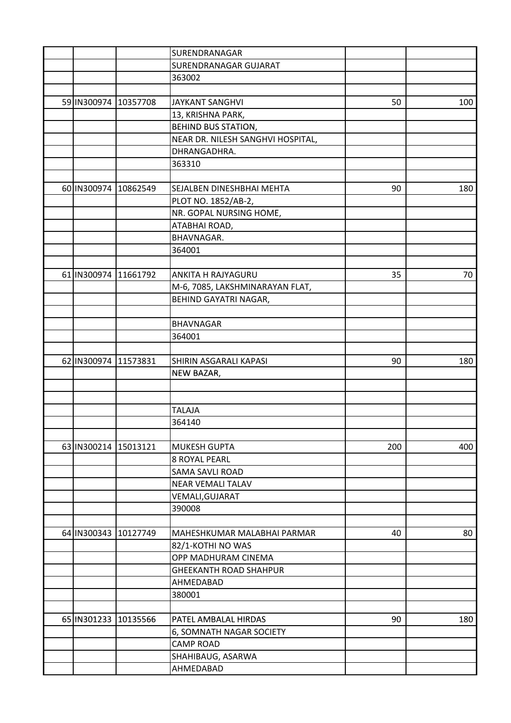|                      |          | SURENDRANAGAR                     |     |     |
|----------------------|----------|-----------------------------------|-----|-----|
|                      |          | <b>SURENDRANAGAR GUJARAT</b>      |     |     |
|                      |          | 363002                            |     |     |
|                      |          |                                   |     |     |
| 59 IN300974          | 10357708 | <b>JAYKANT SANGHVI</b>            | 50  | 100 |
|                      |          | 13, KRISHNA PARK,                 |     |     |
|                      |          | <b>BEHIND BUS STATION,</b>        |     |     |
|                      |          | NEAR DR. NILESH SANGHVI HOSPITAL, |     |     |
|                      |          | DHRANGADHRA.                      |     |     |
|                      |          | 363310                            |     |     |
|                      |          |                                   |     |     |
| 60 IN300974 10862549 |          | SEJALBEN DINESHBHAI MEHTA         | 90  | 180 |
|                      |          | PLOT NO. 1852/AB-2,               |     |     |
|                      |          | NR. GOPAL NURSING HOME,           |     |     |
|                      |          | ATABHAI ROAD,                     |     |     |
|                      |          | <b>BHAVNAGAR.</b>                 |     |     |
|                      |          | 364001                            |     |     |
|                      |          |                                   |     |     |
| 61 IN300974          | 11661792 | <b>ANKITA H RAJYAGURU</b>         | 35  | 70  |
|                      |          | M-6, 7085, LAKSHMINARAYAN FLAT,   |     |     |
|                      |          |                                   |     |     |
|                      |          | BEHIND GAYATRI NAGAR,             |     |     |
|                      |          |                                   |     |     |
|                      |          | <b>BHAVNAGAR</b>                  |     |     |
|                      |          | 364001                            |     |     |
|                      |          |                                   |     |     |
| 62 IN300974          | 11573831 | SHIRIN ASGARALI KAPASI            | 90  | 180 |
|                      |          | NEW BAZAR,                        |     |     |
|                      |          |                                   |     |     |
|                      |          |                                   |     |     |
|                      |          | <b>TALAJA</b>                     |     |     |
|                      |          | 364140                            |     |     |
|                      |          |                                   |     |     |
| 63 IN300214          | 15013121 | <b>MUKESH GUPTA</b>               | 200 | 400 |
|                      |          | <b>8 ROYAL PEARL</b>              |     |     |
|                      |          | <b>SAMA SAVLI ROAD</b>            |     |     |
|                      |          | <b>NEAR VEMALI TALAV</b>          |     |     |
|                      |          | VEMALI, GUJARAT                   |     |     |
|                      |          | 390008                            |     |     |
|                      |          |                                   |     |     |
| 64 IN300343 10127749 |          | MAHESHKUMAR MALABHAI PARMAR       | 40  | 80  |
|                      |          | 82/1-KOTHI NO WAS                 |     |     |
|                      |          | OPP MADHURAM CINEMA               |     |     |
|                      |          | <b>GHEEKANTH ROAD SHAHPUR</b>     |     |     |
|                      |          | AHMEDABAD                         |     |     |
|                      |          | 380001                            |     |     |
|                      |          |                                   |     |     |
| 65 IN301233          | 10135566 | PATEL AMBALAL HIRDAS              | 90  | 180 |
|                      |          | 6, SOMNATH NAGAR SOCIETY          |     |     |
|                      |          | <b>CAMP ROAD</b>                  |     |     |
|                      |          | SHAHIBAUG, ASARWA                 |     |     |
|                      |          | AHMEDABAD                         |     |     |
|                      |          |                                   |     |     |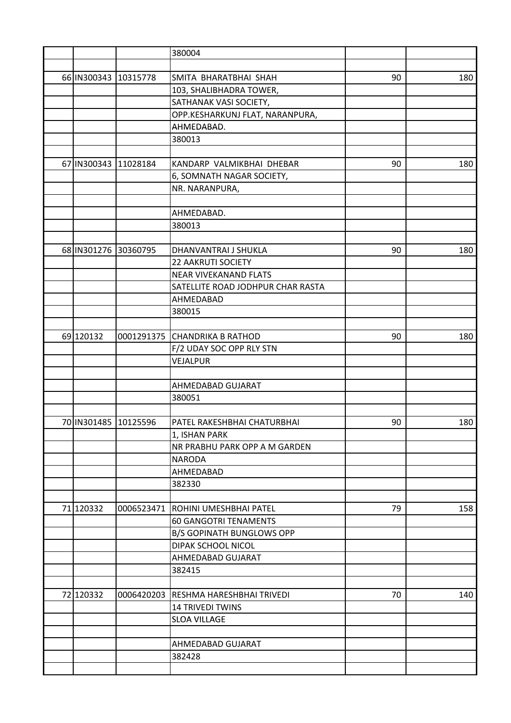|                      |          | 380004                               |    |     |
|----------------------|----------|--------------------------------------|----|-----|
|                      |          |                                      |    |     |
| 66 IN300343          | 10315778 | SMITA BHARATBHAI SHAH                | 90 | 180 |
|                      |          | 103, SHALIBHADRA TOWER,              |    |     |
|                      |          | SATHANAK VASI SOCIETY,               |    |     |
|                      |          | OPP.KESHARKUNJ FLAT, NARANPURA,      |    |     |
|                      |          | AHMEDABAD.                           |    |     |
|                      |          | 380013                               |    |     |
|                      |          |                                      |    |     |
| 67 IN300343          | 11028184 | KANDARP VALMIKBHAI DHEBAR            | 90 | 180 |
|                      |          | 6, SOMNATH NAGAR SOCIETY,            |    |     |
|                      |          | NR. NARANPURA,                       |    |     |
|                      |          |                                      |    |     |
|                      |          | AHMEDABAD.                           |    |     |
|                      |          |                                      |    |     |
|                      |          | 380013                               |    |     |
|                      |          |                                      |    |     |
| 68 IN301276 30360795 |          | DHANVANTRAI J SHUKLA                 | 90 | 180 |
|                      |          | <b>22 AAKRUTI SOCIETY</b>            |    |     |
|                      |          | <b>NEAR VIVEKANAND FLATS</b>         |    |     |
|                      |          | SATELLITE ROAD JODHPUR CHAR RASTA    |    |     |
|                      |          | AHMEDABAD                            |    |     |
|                      |          | 380015                               |    |     |
|                      |          |                                      |    |     |
| 69 120132            |          | 0001291375 CHANDRIKA B RATHOD        | 90 | 180 |
|                      |          | F/2 UDAY SOC OPP RLY STN             |    |     |
|                      |          | VEJALPUR                             |    |     |
|                      |          |                                      |    |     |
|                      |          | AHMEDABAD GUJARAT                    |    |     |
|                      |          | 380051                               |    |     |
|                      |          |                                      |    |     |
| 70 IN301485 10125596 |          | PATEL RAKESHBHAI CHATURBHAI          | 90 | 180 |
|                      |          | 1, ISHAN PARK                        |    |     |
|                      |          | NR PRABHU PARK OPP A M GARDEN        |    |     |
|                      |          | <b>NARODA</b>                        |    |     |
|                      |          | AHMEDABAD                            |    |     |
|                      |          | 382330                               |    |     |
|                      |          |                                      |    |     |
| 71 120332            |          | 0006523471 ROHINI UMESHBHAI PATEL    | 79 | 158 |
|                      |          | <b>60 GANGOTRI TENAMENTS</b>         |    |     |
|                      |          | <b>B/S GOPINATH BUNGLOWS OPP</b>     |    |     |
|                      |          | DIPAK SCHOOL NICOL                   |    |     |
|                      |          | AHMEDABAD GUJARAT                    |    |     |
|                      |          | 382415                               |    |     |
|                      |          |                                      |    |     |
| 72 120332            |          | 0006420203 RESHMA HARESHBHAI TRIVEDI | 70 | 140 |
|                      |          | <b>14 TRIVEDI TWINS</b>              |    |     |
|                      |          | <b>SLOA VILLAGE</b>                  |    |     |
|                      |          |                                      |    |     |
|                      |          | AHMEDABAD GUJARAT                    |    |     |
|                      |          | 382428                               |    |     |
|                      |          |                                      |    |     |
|                      |          |                                      |    |     |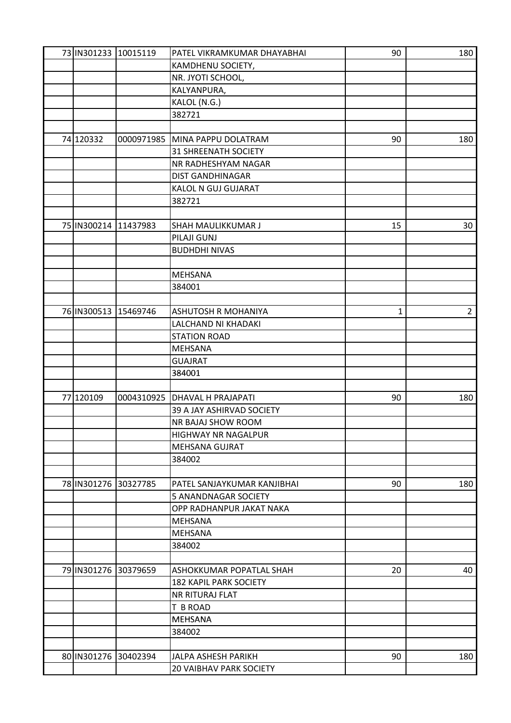| 73 IN301233 10015119 |            | PATEL VIKRAMKUMAR DHAYABHAI    | 90 | 180            |
|----------------------|------------|--------------------------------|----|----------------|
|                      |            | KAMDHENU SOCIETY,              |    |                |
|                      |            | NR. JYOTI SCHOOL,              |    |                |
|                      |            | KALYANPURA,                    |    |                |
|                      |            | KALOL (N.G.)                   |    |                |
|                      |            | 382721                         |    |                |
|                      |            |                                |    |                |
| 74 120332            |            | 0000971985 MINA PAPPU DOLATRAM | 90 | 180            |
|                      |            | <b>31 SHREENATH SOCIETY</b>    |    |                |
|                      |            | NR RADHESHYAM NAGAR            |    |                |
|                      |            | <b>DIST GANDHINAGAR</b>        |    |                |
|                      |            | KALOL N GUJ GUJARAT            |    |                |
|                      |            | 382721                         |    |                |
|                      |            |                                |    |                |
| 75 IN300214          | 11437983   | <b>SHAH MAULIKKUMAR J</b>      | 15 | 30             |
|                      |            | PILAJI GUNJ                    |    |                |
|                      |            | <b>BUDHDHI NIVAS</b>           |    |                |
|                      |            |                                |    |                |
|                      |            | <b>MEHSANA</b>                 |    |                |
|                      |            | 384001                         |    |                |
|                      |            |                                |    |                |
| 76 IN300513 15469746 |            | <b>ASHUTOSH R MOHANIYA</b>     | 1  | $\overline{2}$ |
|                      |            | LALCHAND NI KHADAKI            |    |                |
|                      |            | <b>STATION ROAD</b>            |    |                |
|                      |            | <b>MEHSANA</b>                 |    |                |
|                      |            |                                |    |                |
|                      |            | <b>GUAJRAT</b><br>384001       |    |                |
|                      |            |                                |    |                |
| 77 120109            | 0004310925 | <b>DHAVAL H PRAJAPATI</b>      | 90 | 180            |
|                      |            | 39 A JAY ASHIRVAD SOCIETY      |    |                |
|                      |            | NR BAJAJ SHOW ROOM             |    |                |
|                      |            |                                |    |                |
|                      |            | <b>HIGHWAY NR NAGALPUR</b>     |    |                |
|                      |            | <b>MEHSANA GUJRAT</b>          |    |                |
|                      |            | 384002                         |    |                |
|                      |            |                                |    |                |
| 78 IN301276 30327785 |            | PATEL SANJAYKUMAR KANJIBHAI    | 90 | 180            |
|                      |            | 5 ANANDNAGAR SOCIETY           |    |                |
|                      |            | OPP RADHANPUR JAKAT NAKA       |    |                |
|                      |            | <b>MEHSANA</b>                 |    |                |
|                      |            | <b>MEHSANA</b>                 |    |                |
|                      |            | 384002                         |    |                |
|                      |            |                                |    |                |
| 79 IN301276 30379659 |            | ASHOKKUMAR POPATLAL SHAH       | 20 | 40             |
|                      |            | <b>182 KAPIL PARK SOCIETY</b>  |    |                |
|                      |            | <b>NR RITURAJ FLAT</b>         |    |                |
|                      |            | T B ROAD                       |    |                |
|                      |            | <b>MEHSANA</b>                 |    |                |
|                      |            | 384002                         |    |                |
|                      |            |                                |    |                |
| 80 IN301276 30402394 |            | JALPA ASHESH PARIKH            | 90 | 180            |
|                      |            | <b>20 VAIBHAV PARK SOCIETY</b> |    |                |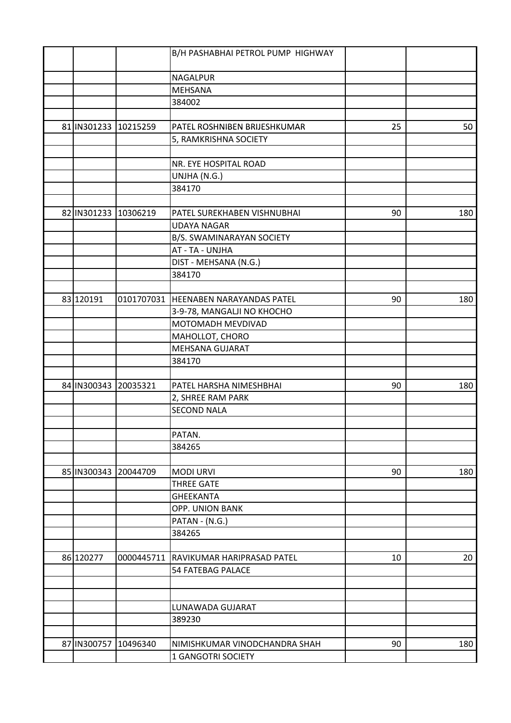|                      |                      | B/H PASHABHAI PETROL PUMP HIGHWAY     |    |     |
|----------------------|----------------------|---------------------------------------|----|-----|
|                      |                      | <b>NAGALPUR</b>                       |    |     |
|                      |                      | <b>MEHSANA</b>                        |    |     |
|                      |                      |                                       |    |     |
|                      |                      | 384002                                |    |     |
|                      | 81 IN301233 10215259 | PATEL ROSHNIBEN BRIJESHKUMAR          | 25 | 50  |
|                      |                      | 5, RAMKRISHNA SOCIETY                 |    |     |
|                      |                      |                                       |    |     |
|                      |                      | NR. EYE HOSPITAL ROAD                 |    |     |
|                      |                      | UNJHA (N.G.)                          |    |     |
|                      |                      | 384170                                |    |     |
|                      |                      |                                       |    |     |
| 82 IN301233          | 10306219             | PATEL SUREKHABEN VISHNUBHAI           | 90 | 180 |
|                      |                      | <b>UDAYA NAGAR</b>                    |    |     |
|                      |                      | B/S. SWAMINARAYAN SOCIETY             |    |     |
|                      |                      | AT - TA - UNJHA                       |    |     |
|                      |                      | DIST - MEHSANA (N.G.)                 |    |     |
|                      |                      | 384170                                |    |     |
|                      |                      |                                       |    |     |
| 83 120191            |                      | 0101707031 HEENABEN NARAYANDAS PATEL  | 90 | 180 |
|                      |                      | 3-9-78, MANGALJI NO KHOCHO            |    |     |
|                      |                      | MOTOMADH MEVDIVAD                     |    |     |
|                      |                      | MAHOLLOT, CHORO                       |    |     |
|                      |                      | <b>MEHSANA GUJARAT</b>                |    |     |
|                      |                      | 384170                                |    |     |
| 84 IN300343          | 20035321             | PATEL HARSHA NIMESHBHAI               | 90 | 180 |
|                      |                      | 2, SHREE RAM PARK                     |    |     |
|                      |                      | <b>SECOND NALA</b>                    |    |     |
|                      |                      |                                       |    |     |
|                      |                      | PATAN.                                |    |     |
|                      |                      | 384265                                |    |     |
|                      |                      |                                       |    |     |
| 85 IN300343 20044709 |                      | <b>MODI URVI</b>                      | 90 | 180 |
|                      |                      | <b>THREE GATE</b>                     |    |     |
|                      |                      | <b>GHEEKANTA</b>                      |    |     |
|                      |                      | OPP. UNION BANK                       |    |     |
|                      |                      | PATAN - (N.G.)                        |    |     |
|                      |                      | 384265                                |    |     |
|                      |                      |                                       |    |     |
| 86 120277            |                      | 0000445711 RAVIKUMAR HARIPRASAD PATEL | 10 | 20  |
|                      |                      | <b>54 FATEBAG PALACE</b>              |    |     |
|                      |                      |                                       |    |     |
|                      |                      | LUNAWADA GUJARAT                      |    |     |
|                      |                      | 389230                                |    |     |
|                      |                      |                                       |    |     |
| 87 IN300757          | 10496340             | NIMISHKUMAR VINODCHANDRA SHAH         | 90 | 180 |
|                      |                      | 1 GANGOTRI SOCIETY                    |    |     |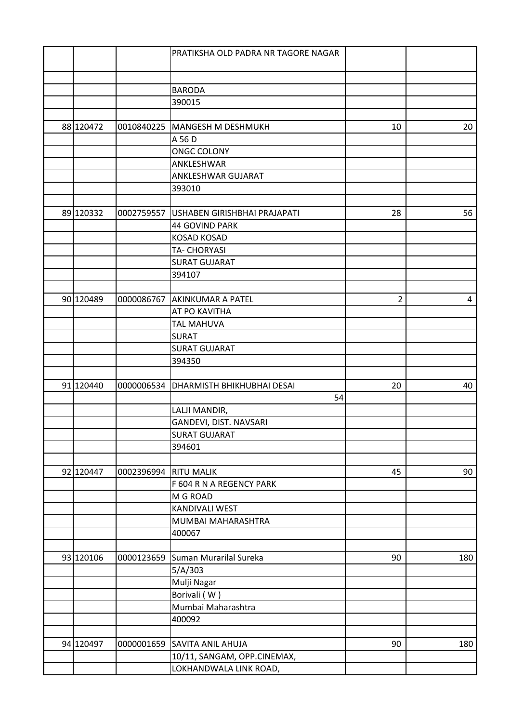|           |            | PRATIKSHA OLD PADRA NR TAGORE NAGAR |                |     |
|-----------|------------|-------------------------------------|----------------|-----|
|           |            |                                     |                |     |
|           |            |                                     |                |     |
|           |            | <b>BARODA</b>                       |                |     |
|           |            | 390015                              |                |     |
|           |            |                                     |                |     |
| 88 120472 |            | 0010840225 MANGESH M DESHMUKH       | 10             | 20  |
|           |            | A 56 D                              |                |     |
|           |            | <b>ONGC COLONY</b>                  |                |     |
|           |            | ANKLESHWAR                          |                |     |
|           |            | ANKLESHWAR GUJARAT                  |                |     |
|           |            | 393010                              |                |     |
|           |            |                                     |                |     |
| 89 120332 | 0002759557 | USHABEN GIRISHBHAI PRAJAPATI        | 28             | 56  |
|           |            | <b>44 GOVIND PARK</b>               |                |     |
|           |            | <b>KOSAD KOSAD</b>                  |                |     |
|           |            | <b>TA- CHORYASI</b>                 |                |     |
|           |            | <b>SURAT GUJARAT</b>                |                |     |
|           |            | 394107                              |                |     |
|           |            |                                     |                |     |
| 90 120489 |            | 0000086767 AKINKUMAR A PATEL        | $\overline{2}$ | 4   |
|           |            | AT PO KAVITHA                       |                |     |
|           |            | <b>TAL MAHUVA</b>                   |                |     |
|           |            | <b>SURAT</b>                        |                |     |
|           |            | <b>SURAT GUJARAT</b>                |                |     |
|           |            |                                     |                |     |
|           |            | 394350                              |                |     |
| 91 120440 |            |                                     |                |     |
|           | 0000006534 | <b>DHARMISTH BHIKHUBHAI DESAI</b>   | 20             | 40  |
|           |            | 54                                  |                |     |
|           |            | LALJI MANDIR,                       |                |     |
|           |            | GANDEVI, DIST. NAVSARI              |                |     |
|           |            | <b>SURAT GUJARAT</b>                |                |     |
|           |            | 394601                              |                |     |
|           |            |                                     |                |     |
| 92 120447 | 0002396994 | <b>RITU MALIK</b>                   | 45             | 90  |
|           |            | F 604 R N A REGENCY PARK            |                |     |
|           |            | M G ROAD                            |                |     |
|           |            | <b>KANDIVALI WEST</b>               |                |     |
|           |            | MUMBAI MAHARASHTRA                  |                |     |
|           |            | 400067                              |                |     |
|           |            |                                     |                |     |
| 93 120106 | 0000123659 | Suman Murarilal Sureka              | 90             | 180 |
|           |            | 5/A/303                             |                |     |
|           |            | Mulji Nagar                         |                |     |
|           |            | Borivali (W)                        |                |     |
|           |            | Mumbai Maharashtra                  |                |     |
|           |            | 400092                              |                |     |
|           |            |                                     |                |     |
| 94 120497 | 0000001659 | <b>SAVITA ANIL AHUJA</b>            | 90             | 180 |
|           |            | 10/11, SANGAM, OPP.CINEMAX,         |                |     |
|           |            | LOKHANDWALA LINK ROAD,              |                |     |
|           |            |                                     |                |     |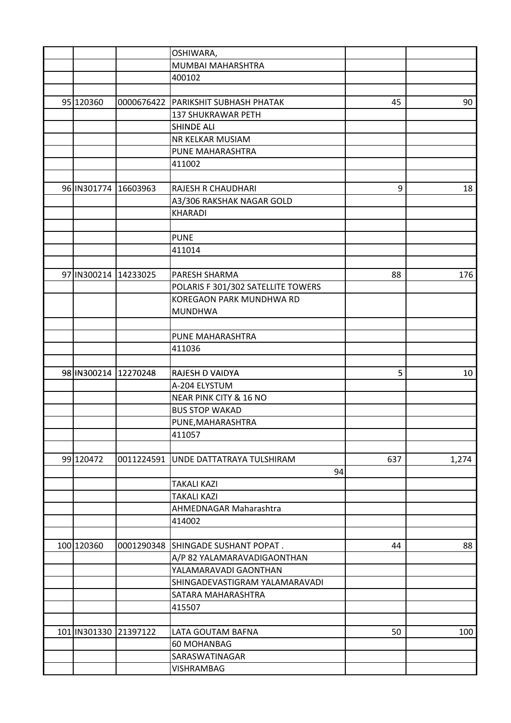|                         | OSHIWARA,                            |     |       |
|-------------------------|--------------------------------------|-----|-------|
|                         | MUMBAI MAHARSHTRA                    |     |       |
|                         | 400102                               |     |       |
|                         |                                      |     |       |
| 95 120360               | 0000676422 PARIKSHIT SUBHASH PHATAK  | 45  | 90    |
|                         | 137 SHUKRAWAR PETH                   |     |       |
|                         | <b>SHINDE ALI</b>                    |     |       |
|                         | NR KELKAR MUSIAM                     |     |       |
|                         | PUNE MAHARASHTRA                     |     |       |
|                         | 411002                               |     |       |
|                         |                                      |     |       |
| 96 IN301774 16603963    | RAJESH R CHAUDHARI                   | 9   | 18    |
|                         | A3/306 RAKSHAK NAGAR GOLD            |     |       |
|                         | <b>KHARADI</b>                       |     |       |
|                         |                                      |     |       |
|                         | <b>PUNE</b>                          |     |       |
|                         |                                      |     |       |
|                         | 411014                               |     |       |
|                         |                                      |     |       |
| 97 IN300214 14233025    | PARESH SHARMA                        | 88  | 176   |
|                         | POLARIS F 301/302 SATELLITE TOWERS   |     |       |
|                         | KOREGAON PARK MUNDHWA RD             |     |       |
|                         | <b>MUNDHWA</b>                       |     |       |
|                         |                                      |     |       |
|                         | PUNE MAHARASHTRA                     |     |       |
|                         | 411036                               |     |       |
|                         |                                      |     |       |
| 98 IN300214 12270248    | RAJESH D VAIDYA                      | 5   | 10    |
|                         | A-204 ELYSTUM                        |     |       |
|                         | NEAR PINK CITY & 16 NO               |     |       |
|                         | <b>BUS STOP WAKAD</b>                |     |       |
|                         | PUNE, MAHARASHTRA                    |     |       |
|                         | 411057                               |     |       |
|                         |                                      |     |       |
| 99 120472               | 0011224591 UNDE DATTATRAYA TULSHIRAM | 637 | 1,274 |
|                         | 94                                   |     |       |
|                         | <b>TAKALI KAZI</b>                   |     |       |
|                         | <b>TAKALI KAZI</b>                   |     |       |
|                         | <b>AHMEDNAGAR Maharashtra</b>        |     |       |
|                         | 414002                               |     |       |
|                         |                                      |     |       |
| 100 120360              | 0001290348 SHINGADE SUSHANT POPAT.   | 44  | 88    |
|                         | A/P 82 YALAMARAVADIGAONTHAN          |     |       |
|                         | YALAMARAVADI GAONTHAN                |     |       |
|                         | SHINGADEVASTIGRAM YALAMARAVADI       |     |       |
|                         | SATARA MAHARASHTRA                   |     |       |
|                         | 415507                               |     |       |
|                         |                                      |     |       |
| 101   IN301330 21397122 | LATA GOUTAM BAFNA                    | 50  | 100   |
|                         | 60 MOHANBAG                          |     |       |
|                         | SARASWATINAGAR                       |     |       |
|                         |                                      |     |       |
|                         | VISHRAMBAG                           |     |       |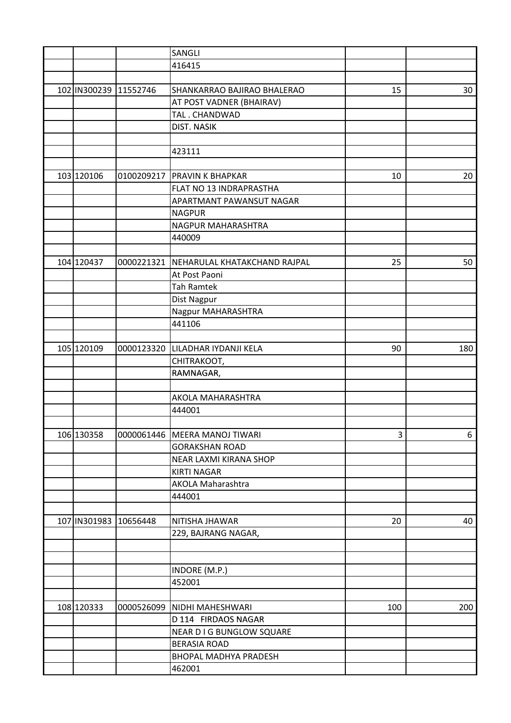|                       |            | SANGLI                           |     |     |
|-----------------------|------------|----------------------------------|-----|-----|
|                       |            | 416415                           |     |     |
|                       |            |                                  |     |     |
| 102 IN300239 11552746 |            | SHANKARRAO BAJIRAO BHALERAO      | 15  | 30  |
|                       |            | AT POST VADNER (BHAIRAV)         |     |     |
|                       |            | TAL. CHANDWAD                    |     |     |
|                       |            | <b>DIST. NASIK</b>               |     |     |
|                       |            |                                  |     |     |
|                       |            | 423111                           |     |     |
|                       |            |                                  |     |     |
| 103 120106            |            | 0100209217   PRAVIN K BHAPKAR    | 10  | 20  |
|                       |            | FLAT NO 13 INDRAPRASTHA          |     |     |
|                       |            | APARTMANT PAWANSUT NAGAR         |     |     |
|                       |            | <b>NAGPUR</b>                    |     |     |
|                       |            | NAGPUR MAHARASHTRA               |     |     |
|                       |            | 440009                           |     |     |
|                       |            |                                  |     |     |
| 104 120437            | 0000221321 | NEHARULAL KHATAKCHAND RAJPAL     | 25  | 50  |
|                       |            | At Post Paoni                    |     |     |
|                       |            | <b>Tah Ramtek</b>                |     |     |
|                       |            | Dist Nagpur                      |     |     |
|                       |            | Nagpur MAHARASHTRA               |     |     |
|                       |            | 441106                           |     |     |
|                       |            |                                  |     |     |
| 105 120109            |            | 0000123320 LILADHAR IYDANJI KELA | 90  | 180 |
|                       |            |                                  |     |     |
|                       |            | CHITRAKOOT,<br>RAMNAGAR,         |     |     |
|                       |            |                                  |     |     |
|                       |            | AKOLA MAHARASHTRA                |     |     |
|                       |            | 444001                           |     |     |
|                       |            |                                  |     |     |
| 106 130358            |            | 0000061446 MEERA MANOJ TIWARI    | 3   | 6   |
|                       |            | <b>GORAKSHAN ROAD</b>            |     |     |
|                       |            |                                  |     |     |
|                       |            | NEAR LAXMI KIRANA SHOP           |     |     |
|                       |            | <b>KIRTI NAGAR</b>               |     |     |
|                       |            | <b>AKOLA Maharashtra</b>         |     |     |
|                       |            | 444001                           |     |     |
|                       |            |                                  |     |     |
| 107 IN301983          | 10656448   | NITISHA JHAWAR                   | 20  | 40  |
|                       |            | 229, BAJRANG NAGAR,              |     |     |
|                       |            |                                  |     |     |
|                       |            |                                  |     |     |
|                       |            | INDORE (M.P.)                    |     |     |
|                       |            | 452001                           |     |     |
|                       |            |                                  |     |     |
| 108 120333            |            | 0000526099 NIDHI MAHESHWARI      | 100 | 200 |
|                       |            | D 114 FIRDAOS NAGAR              |     |     |
|                       |            | NEAR D I G BUNGLOW SQUARE        |     |     |
|                       |            | <b>BERASIA ROAD</b>              |     |     |
|                       |            | <b>BHOPAL MADHYA PRADESH</b>     |     |     |
|                       |            | 462001                           |     |     |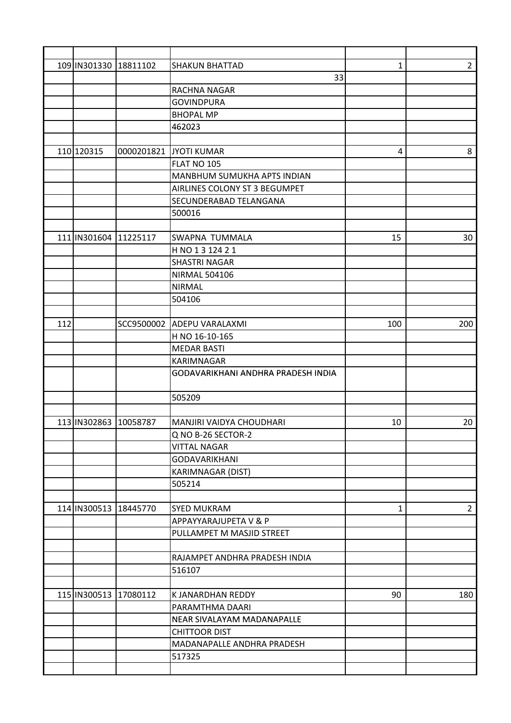|     | 109 IN301330 18811102     |          | <b>SHAKUN BHATTAD</b>              | 1   | $2^{\circ}$ |
|-----|---------------------------|----------|------------------------------------|-----|-------------|
|     |                           |          | 33                                 |     |             |
|     |                           |          | <b>RACHNA NAGAR</b>                |     |             |
|     |                           |          | <b>GOVINDPURA</b>                  |     |             |
|     |                           |          | <b>BHOPAL MP</b>                   |     |             |
|     |                           |          | 462023                             |     |             |
|     |                           |          |                                    |     |             |
|     | 110 120315                |          | 0000201821 JYOTI KUMAR             | 4   | 8           |
|     |                           |          | FLAT NO 105                        |     |             |
|     |                           |          | <b>MANBHUM SUMUKHA APTS INDIAN</b> |     |             |
|     |                           |          | AIRLINES COLONY ST 3 BEGUMPET      |     |             |
|     |                           |          | SECUNDERABAD TELANGANA             |     |             |
|     |                           |          | 500016                             |     |             |
|     |                           |          |                                    |     |             |
|     | 111 IN301604              | 11225117 | SWAPNA TUMMALA                     | 15  | 30          |
|     |                           |          | H NO 1 3 124 2 1                   |     |             |
|     |                           |          | <b>SHASTRI NAGAR</b>               |     |             |
|     |                           |          | <b>NIRMAL 504106</b>               |     |             |
|     |                           |          | <b>NIRMAL</b>                      |     |             |
|     |                           |          | 504106                             |     |             |
|     |                           |          |                                    |     |             |
| 112 |                           |          | SCC9500002 ADEPU VARALAXMI         | 100 | 200         |
|     |                           |          | H NO 16-10-165                     |     |             |
|     |                           |          | <b>MEDAR BASTI</b>                 |     |             |
|     |                           |          | <b>KARIMNAGAR</b>                  |     |             |
|     |                           |          | GODAVARIKHANI ANDHRA PRADESH INDIA |     |             |
|     |                           |          |                                    |     |             |
|     |                           |          | 505209                             |     |             |
|     |                           |          |                                    |     |             |
|     | 113 IN302863              | 10058787 | MANJIRI VAIDYA CHOUDHARI           | 10  | 20          |
|     |                           |          | Q NO B-26 SECTOR-2                 |     |             |
|     |                           |          | <b>VITTAL NAGAR</b>                |     |             |
|     |                           |          | <b>GODAVARIKHANI</b>               |     |             |
|     |                           |          | <b>KARIMNAGAR (DIST)</b>           |     |             |
|     |                           |          | 505214                             |     |             |
|     |                           |          |                                    |     |             |
|     | 114   IN300513   18445770 |          | <b>SYED MUKRAM</b>                 | 1   | $2^{\circ}$ |
|     |                           |          | APPAYYARAJUPETA V & P              |     |             |
|     |                           |          | PULLAMPET M MASJID STREET          |     |             |
|     |                           |          |                                    |     |             |
|     |                           |          | RAJAMPET ANDHRA PRADESH INDIA      |     |             |
|     |                           |          | 516107                             |     |             |
|     |                           |          |                                    |     |             |
|     | 115 IN300513 17080112     |          | K JANARDHAN REDDY                  | 90  | 180         |
|     |                           |          | PARAMTHMA DAARI                    |     |             |
|     |                           |          | NEAR SIVALAYAM MADANAPALLE         |     |             |
|     |                           |          | <b>CHITTOOR DIST</b>               |     |             |
|     |                           |          | MADANAPALLE ANDHRA PRADESH         |     |             |
|     |                           |          | 517325                             |     |             |
|     |                           |          |                                    |     |             |
|     |                           |          |                                    |     |             |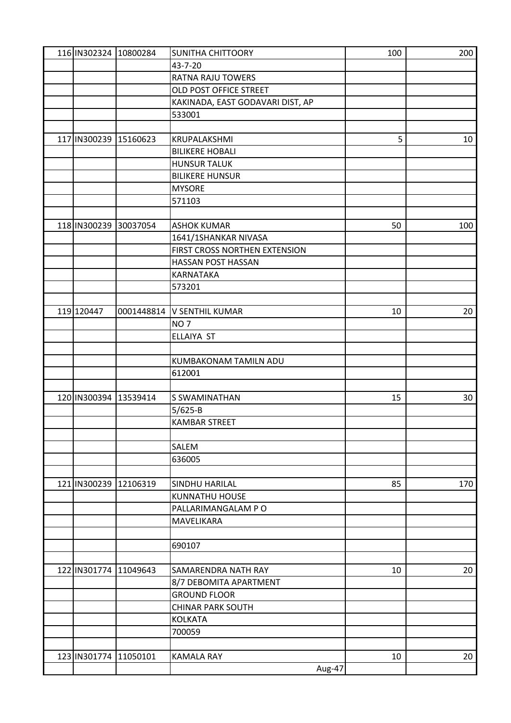| 116 IN302324 10800284 |          | <b>SUNITHA CHITTOORY</b>         | 100 | 200 |
|-----------------------|----------|----------------------------------|-----|-----|
|                       |          | 43-7-20                          |     |     |
|                       |          | <b>RATNA RAJU TOWERS</b>         |     |     |
|                       |          | OLD POST OFFICE STREET           |     |     |
|                       |          | KAKINADA, EAST GODAVARI DIST, AP |     |     |
|                       |          | 533001                           |     |     |
|                       |          |                                  |     |     |
| 117 IN300239 15160623 |          | KRUPALAKSHMI                     | 5   | 10  |
|                       |          | <b>BILIKERE HOBALI</b>           |     |     |
|                       |          | <b>HUNSUR TALUK</b>              |     |     |
|                       |          | <b>BILIKERE HUNSUR</b>           |     |     |
|                       |          | <b>MYSORE</b>                    |     |     |
|                       |          | 571103                           |     |     |
|                       |          |                                  |     |     |
| 118 IN300239          | 30037054 | <b>ASHOK KUMAR</b>               | 50  | 100 |
|                       |          | 1641/1SHANKAR NIVASA             |     |     |
|                       |          | FIRST CROSS NORTHEN EXTENSION    |     |     |
|                       |          | HASSAN POST HASSAN               |     |     |
|                       |          | <b>KARNATAKA</b>                 |     |     |
|                       |          | 573201                           |     |     |
|                       |          |                                  |     |     |
| 119 120447            |          | 0001448814 V SENTHIL KUMAR       | 10  | 20  |
|                       |          | NO <sub>7</sub>                  |     |     |
|                       |          | ELLAIYA ST                       |     |     |
|                       |          |                                  |     |     |
|                       |          | KUMBAKONAM TAMILN ADU            |     |     |
|                       |          | 612001                           |     |     |
|                       |          |                                  |     |     |
| 120 IN300394 13539414 |          | S SWAMINATHAN                    | 15  | 30  |
|                       |          | $5/625 - B$                      |     |     |
|                       |          | <b>KAMBAR STREET</b>             |     |     |
|                       |          |                                  |     |     |
|                       |          | SALEM                            |     |     |
|                       |          | 636005                           |     |     |
|                       |          |                                  |     |     |
| 121 IN300239 12106319 |          | SINDHU HARILAL                   | 85  | 170 |
|                       |          | <b>KUNNATHU HOUSE</b>            |     |     |
|                       |          | PALLARIMANGALAM PO               |     |     |
|                       |          | <b>MAVELIKARA</b>                |     |     |
|                       |          |                                  |     |     |
|                       |          | 690107                           |     |     |
|                       |          |                                  |     |     |
| 122 IN301774 11049643 |          | SAMARENDRA NATH RAY              | 10  | 20  |
|                       |          | 8/7 DEBOMITA APARTMENT           |     |     |
|                       |          | <b>GROUND FLOOR</b>              |     |     |
|                       |          | <b>CHINAR PARK SOUTH</b>         |     |     |
|                       |          | <b>KOLKATA</b>                   |     |     |
|                       |          | 700059                           |     |     |
|                       |          |                                  |     |     |
| 123 IN301774 11050101 |          | <b>KAMALA RAY</b>                | 10  | 20  |
|                       |          | Aug-47                           |     |     |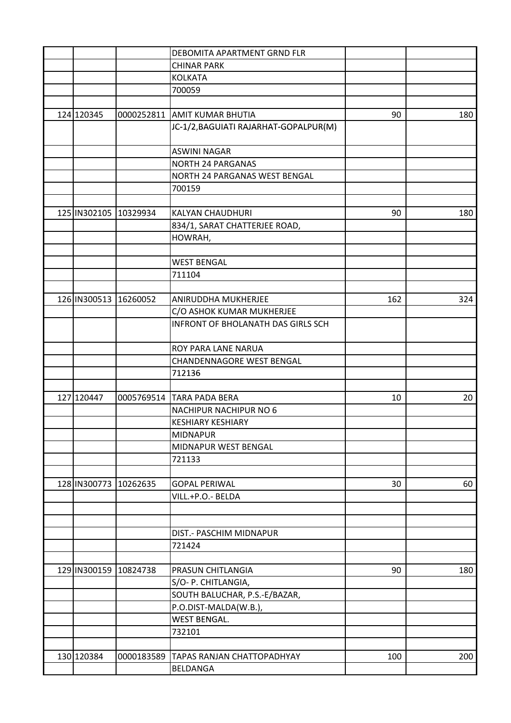|              |            | DEBOMITA APARTMENT GRND FLR               |     |     |
|--------------|------------|-------------------------------------------|-----|-----|
|              |            | <b>CHINAR PARK</b>                        |     |     |
|              |            | <b>KOLKATA</b>                            |     |     |
|              |            | 700059                                    |     |     |
|              |            |                                           |     |     |
| 124 120345   |            | 0000252811 AMIT KUMAR BHUTIA              | 90  | 180 |
|              |            | JC-1/2, BAGUIATI RAJARHAT-GOPALPUR(M)     |     |     |
|              |            | <b>ASWINI NAGAR</b>                       |     |     |
|              |            | <b>NORTH 24 PARGANAS</b>                  |     |     |
|              |            | NORTH 24 PARGANAS WEST BENGAL             |     |     |
|              |            | 700159                                    |     |     |
|              |            |                                           |     |     |
| 125 IN302105 | 10329934   | <b>KALYAN CHAUDHURI</b>                   | 90  | 180 |
|              |            | 834/1, SARAT CHATTERJEE ROAD,             |     |     |
|              |            | HOWRAH,                                   |     |     |
|              |            |                                           |     |     |
|              |            | <b>WEST BENGAL</b>                        |     |     |
|              |            | 711104                                    |     |     |
|              |            |                                           |     |     |
| 126 IN300513 | 16260052   | ANIRUDDHA MUKHERJEE                       | 162 | 324 |
|              |            | C/O ASHOK KUMAR MUKHERJEE                 |     |     |
|              |            | <b>INFRONT OF BHOLANATH DAS GIRLS SCH</b> |     |     |
|              |            | ROY PARA LANE NARUA                       |     |     |
|              |            | CHANDENNAGORE WEST BENGAL                 |     |     |
|              |            | 712136                                    |     |     |
|              |            |                                           |     |     |
| 127 120447   |            | 0005769514 TARA PADA BERA                 | 10  | 20  |
|              |            | <b>NACHIPUR NACHIPUR NO 6</b>             |     |     |
|              |            | <b>KESHIARY KESHIARY</b>                  |     |     |
|              |            | <b>MIDNAPUR</b>                           |     |     |
|              |            | MIDNAPUR WEST BENGAL                      |     |     |
|              |            | 721133                                    |     |     |
|              |            |                                           |     |     |
| 128 IN300773 | 10262635   | <b>GOPAL PERIWAL</b>                      | 30  | 60  |
|              |            | VILL.+P.O.- BELDA                         |     |     |
|              |            |                                           |     |     |
|              |            |                                           |     |     |
|              |            | DIST.- PASCHIM MIDNAPUR                   |     |     |
|              |            | 721424                                    |     |     |
|              |            |                                           |     |     |
| 129 IN300159 | 10824738   | PRASUN CHITLANGIA                         | 90  | 180 |
|              |            | S/O- P. CHITLANGIA,                       |     |     |
|              |            | SOUTH BALUCHAR, P.S.-E/BAZAR,             |     |     |
|              |            | P.O.DIST-MALDA(W.B.),                     |     |     |
|              |            | <b>WEST BENGAL.</b>                       |     |     |
|              |            | 732101                                    |     |     |
|              |            |                                           |     |     |
| 130 120384   | 0000183589 | <b>TAPAS RANJAN CHATTOPADHYAY</b>         | 100 | 200 |
|              |            | <b>BELDANGA</b>                           |     |     |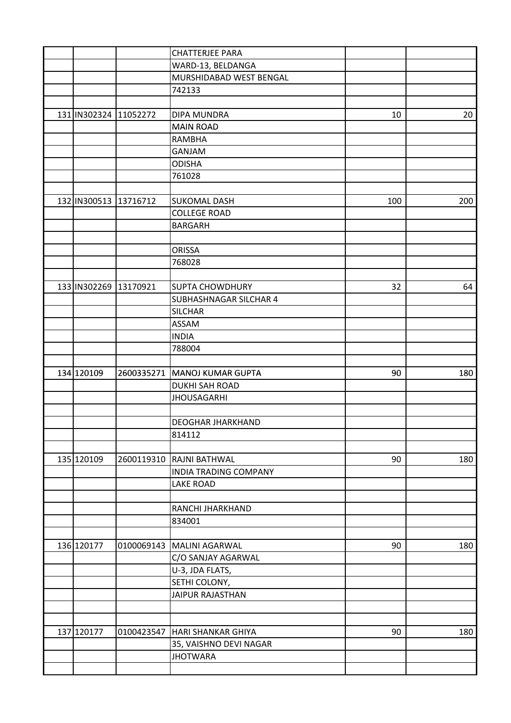|                       |            | <b>CHATTERJEE PARA</b>         |     |     |
|-----------------------|------------|--------------------------------|-----|-----|
|                       |            | WARD-13, BELDANGA              |     |     |
|                       |            | MURSHIDABAD WEST BENGAL        |     |     |
|                       |            | 742133                         |     |     |
|                       |            |                                |     |     |
| 131 IN302324 11052272 |            | <b>DIPA MUNDRA</b>             | 10  | 20  |
|                       |            | <b>MAIN ROAD</b>               |     |     |
|                       |            | <b>RAMBHA</b>                  |     |     |
|                       |            | GANJAM                         |     |     |
|                       |            | <b>ODISHA</b>                  |     |     |
|                       |            | 761028                         |     |     |
|                       |            |                                |     |     |
| 132 IN300513          | 13716712   | <b>SUKOMAL DASH</b>            | 100 | 200 |
|                       |            | <b>COLLEGE ROAD</b>            |     |     |
|                       |            | <b>BARGARH</b>                 |     |     |
|                       |            |                                |     |     |
|                       |            | <b>ORISSA</b>                  |     |     |
|                       |            | 768028                         |     |     |
|                       |            |                                |     |     |
| 133 IN302269 13170921 |            | <b>SUPTA CHOWDHURY</b>         | 32  | 64  |
|                       |            | <b>SUBHASHNAGAR SILCHAR 4</b>  |     |     |
|                       |            | <b>SILCHAR</b>                 |     |     |
|                       |            | <b>ASSAM</b>                   |     |     |
|                       |            | <b>INDIA</b>                   |     |     |
|                       |            | 788004                         |     |     |
|                       |            |                                |     |     |
| 134 120109            |            | 2600335271   MANOJ KUMAR GUPTA | 90  | 180 |
|                       |            | <b>DUKHI SAH ROAD</b>          |     |     |
|                       |            | <b>JHOUSAGARHI</b>             |     |     |
|                       |            |                                |     |     |
|                       |            | <b>DEOGHAR JHARKHAND</b>       |     |     |
|                       |            | 814112                         |     |     |
|                       |            |                                |     |     |
| 135 120109            |            | 2600119310 RAJNI BATHWAL       | 90  | 180 |
|                       |            | <b>INDIA TRADING COMPANY</b>   |     |     |
|                       |            | <b>LAKE ROAD</b>               |     |     |
|                       |            |                                |     |     |
|                       |            | RANCHI JHARKHAND               |     |     |
|                       |            | 834001                         |     |     |
|                       |            |                                |     |     |
| 136 120177            |            | 0100069143   MALINI AGARWAL    | 90  | 180 |
|                       |            | C/O SANJAY AGARWAL             |     |     |
|                       |            | U-3, JDA FLATS,                |     |     |
|                       |            | SETHI COLONY,                  |     |     |
|                       |            | <b>JAIPUR RAJASTHAN</b>        |     |     |
|                       |            |                                |     |     |
|                       |            |                                |     |     |
| 137 120177            | 0100423547 | HARI SHANKAR GHIYA             | 90  | 180 |
|                       |            | 35, VAISHNO DEVI NAGAR         |     |     |
|                       |            | <b>JHOTWARA</b>                |     |     |
|                       |            |                                |     |     |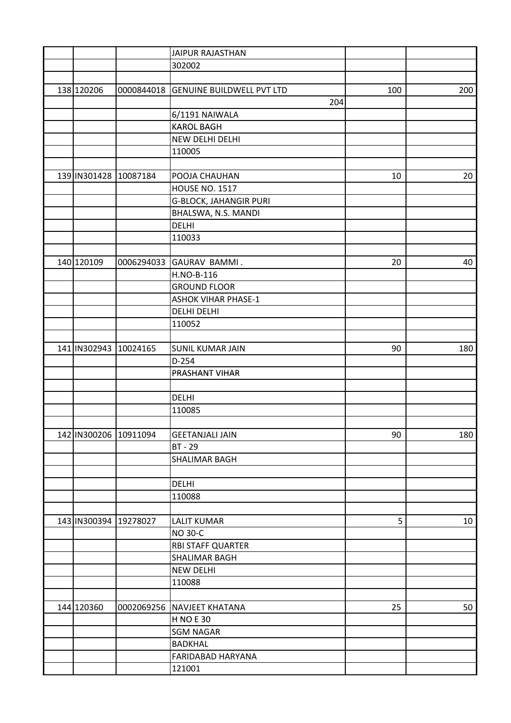|                       |          | <b>JAIPUR RAJASTHAN</b>              |     |     |
|-----------------------|----------|--------------------------------------|-----|-----|
|                       |          | 302002                               |     |     |
|                       |          |                                      |     |     |
| 138 120206            |          | 0000844018 GENUINE BUILDWELL PVT LTD | 100 | 200 |
|                       |          | 204                                  |     |     |
|                       |          | 6/1191 NAIWALA                       |     |     |
|                       |          | <b>KAROL BAGH</b>                    |     |     |
|                       |          | NEW DELHI DELHI                      |     |     |
|                       |          | 110005                               |     |     |
|                       |          |                                      |     |     |
| 139 IN301428 10087184 |          | POOJA CHAUHAN                        | 10  | 20  |
|                       |          | <b>HOUSE NO. 1517</b>                |     |     |
|                       |          | <b>G-BLOCK, JAHANGIR PURI</b>        |     |     |
|                       |          | BHALSWA, N.S. MANDI                  |     |     |
|                       |          | <b>DELHI</b>                         |     |     |
|                       |          | 110033                               |     |     |
|                       |          |                                      |     |     |
| 140 120109            |          | 0006294033 GAURAV BAMMI.             | 20  | 40  |
|                       |          |                                      |     |     |
|                       |          | H.NO-B-116                           |     |     |
|                       |          | <b>GROUND FLOOR</b>                  |     |     |
|                       |          | <b>ASHOK VIHAR PHASE-1</b>           |     |     |
|                       |          | <b>DELHI DELHI</b>                   |     |     |
|                       |          | 110052                               |     |     |
|                       |          |                                      |     |     |
| 141 IN302943          | 10024165 | <b>SUNIL KUMAR JAIN</b>              | 90  | 180 |
|                       |          | $D-254$                              |     |     |
|                       |          | <b>PRASHANT VIHAR</b>                |     |     |
|                       |          |                                      |     |     |
|                       |          | <b>DELHI</b>                         |     |     |
|                       |          | 110085                               |     |     |
|                       |          |                                      |     |     |
| 142 IN300206 10911094 |          | <b>GEETANJALI JAIN</b>               | 90  | 180 |
|                       |          | <b>BT - 29</b>                       |     |     |
|                       |          | SHALIMAR BAGH                        |     |     |
|                       |          |                                      |     |     |
|                       |          | <b>DELHI</b>                         |     |     |
|                       |          | 110088                               |     |     |
|                       |          |                                      |     |     |
| 143 IN300394 19278027 |          | <b>LALIT KUMAR</b>                   | 5   | 10  |
|                       |          | <b>NO 30-C</b>                       |     |     |
|                       |          | <b>RBI STAFF QUARTER</b>             |     |     |
|                       |          | <b>SHALIMAR BAGH</b>                 |     |     |
|                       |          | <b>NEW DELHI</b>                     |     |     |
|                       |          | 110088                               |     |     |
|                       |          |                                      |     |     |
| 144 120360            |          | 0002069256 NAVJEET KHATANA           | 25  | 50  |
|                       |          | <b>H NO E 30</b>                     |     |     |
|                       |          | <b>SGM NAGAR</b>                     |     |     |
|                       |          | <b>BADKHAL</b>                       |     |     |
|                       |          | FARIDABAD HARYANA                    |     |     |
|                       |          | 121001                               |     |     |
|                       |          |                                      |     |     |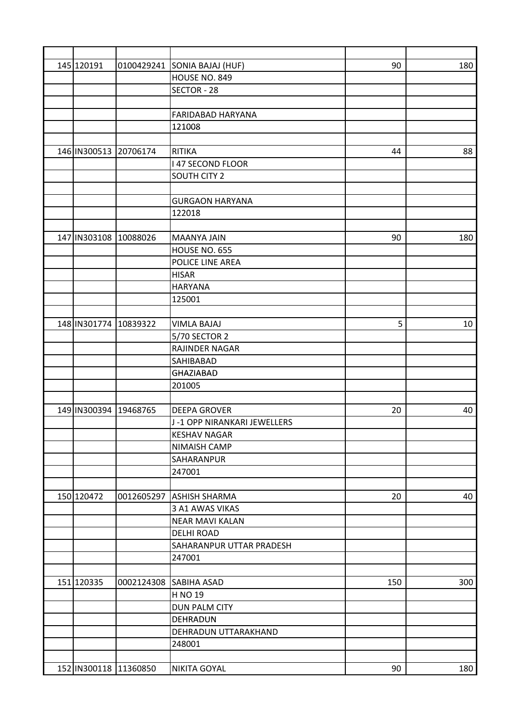| 145 120191                |            | 0100429241 SONIA BAJAJ (HUF) | 90  | 180 |
|---------------------------|------------|------------------------------|-----|-----|
|                           |            | HOUSE NO. 849                |     |     |
|                           |            | SECTOR - 28                  |     |     |
|                           |            |                              |     |     |
|                           |            | <b>FARIDABAD HARYANA</b>     |     |     |
|                           |            | 121008                       |     |     |
|                           |            |                              |     |     |
| 146 IN300513 20706174     |            | <b>RITIKA</b>                | 44  | 88  |
|                           |            | <b>I 47 SECOND FLOOR</b>     |     |     |
|                           |            | <b>SOUTH CITY 2</b>          |     |     |
|                           |            |                              |     |     |
|                           |            | <b>GURGAON HARYANA</b>       |     |     |
|                           |            | 122018                       |     |     |
|                           |            |                              |     |     |
| 147 IN303108 10088026     |            | <b>MAANYA JAIN</b>           | 90  | 180 |
|                           |            | HOUSE NO. 655                |     |     |
|                           |            | POLICE LINE AREA             |     |     |
|                           |            | <b>HISAR</b>                 |     |     |
|                           |            | <b>HARYANA</b>               |     |     |
|                           |            | 125001                       |     |     |
|                           |            |                              |     |     |
| 148 IN301774              | 10839322   | <b>VIMLA BAJAJ</b>           | 5   | 10  |
|                           |            | 5/70 SECTOR 2                |     |     |
|                           |            | RAJINDER NAGAR               |     |     |
|                           |            | <b>SAHIBABAD</b>             |     |     |
|                           |            |                              |     |     |
|                           |            | <b>GHAZIABAD</b><br>201005   |     |     |
|                           |            |                              |     |     |
| 149 IN300394              | 19468765   | <b>DEEPA GROVER</b>          | 20  | 40  |
|                           |            | J-1 OPP NIRANKARI JEWELLERS  |     |     |
|                           |            |                              |     |     |
|                           |            | KESHAV NAGAR                 |     |     |
|                           |            | <b>NIMAISH CAMP</b>          |     |     |
|                           |            | SAHARANPUR                   |     |     |
|                           |            | 247001                       |     |     |
|                           |            |                              |     |     |
| 150 120472                | 0012605297 | <b>ASHISH SHARMA</b>         | 20  | 40  |
|                           |            | 3 A1 AWAS VIKAS              |     |     |
|                           |            | <b>NEAR MAVI KALAN</b>       |     |     |
|                           |            | <b>DELHI ROAD</b>            |     |     |
|                           |            | SAHARANPUR UTTAR PRADESH     |     |     |
|                           |            | 247001                       |     |     |
|                           |            |                              |     |     |
| 151 120335                |            | 0002124308 SABIHA ASAD       | 150 | 300 |
|                           |            | H NO 19                      |     |     |
|                           |            | <b>DUN PALM CITY</b>         |     |     |
|                           |            | DEHRADUN                     |     |     |
|                           |            | DEHRADUN UTTARAKHAND         |     |     |
|                           |            | 248001                       |     |     |
|                           |            |                              |     |     |
| 152   IN300118   11360850 |            | <b>NIKITA GOYAL</b>          | 90  | 180 |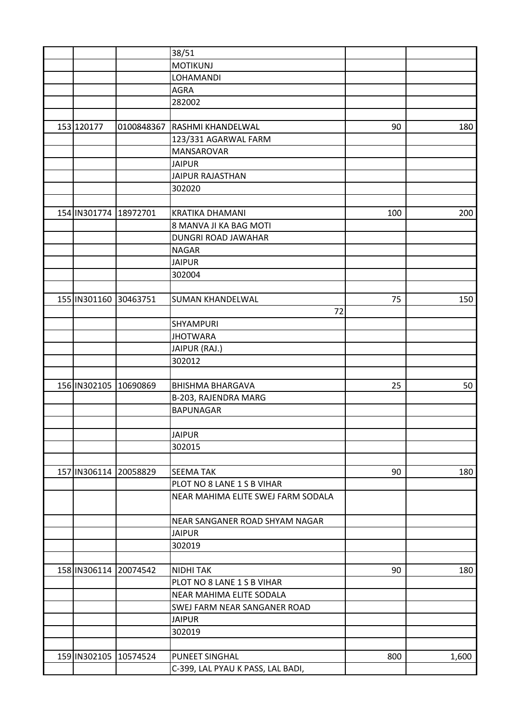|                       |            | 38/51                              |     |       |
|-----------------------|------------|------------------------------------|-----|-------|
|                       |            | <b>MOTIKUNJ</b>                    |     |       |
|                       |            | <b>LOHAMANDI</b>                   |     |       |
|                       |            | <b>AGRA</b>                        |     |       |
|                       |            | 282002                             |     |       |
|                       |            |                                    |     |       |
| 153 120177            | 0100848367 | <b>RASHMI KHANDELWAL</b>           | 90  | 180   |
|                       |            | 123/331 AGARWAL FARM               |     |       |
|                       |            | <b>MANSAROVAR</b>                  |     |       |
|                       |            | <b>JAIPUR</b>                      |     |       |
|                       |            | <b>JAIPUR RAJASTHAN</b>            |     |       |
|                       |            | 302020                             |     |       |
|                       |            |                                    |     |       |
| 154 IN301774          | 18972701   | <b>KRATIKA DHAMANI</b>             | 100 | 200   |
|                       |            | 8 MANVA JI KA BAG MOTI             |     |       |
|                       |            | <b>DUNGRI ROAD JAWAHAR</b>         |     |       |
|                       |            | <b>NAGAR</b>                       |     |       |
|                       |            | <b>JAIPUR</b>                      |     |       |
|                       |            | 302004                             |     |       |
|                       |            |                                    |     |       |
| 155 IN301160 30463751 |            | <b>SUMAN KHANDELWAL</b>            | 75  | 150   |
|                       |            | 72                                 |     |       |
|                       |            | SHYAMPURI                          |     |       |
|                       |            | <b>JHOTWARA</b>                    |     |       |
|                       |            | JAIPUR (RAJ.)                      |     |       |
|                       |            | 302012                             |     |       |
|                       |            |                                    |     |       |
| 156 IN302105          | 10690869   | <b>BHISHMA BHARGAVA</b>            | 25  | 50    |
|                       |            | B-203, RAJENDRA MARG               |     |       |
|                       |            | <b>BAPUNAGAR</b>                   |     |       |
|                       |            |                                    |     |       |
|                       |            |                                    |     |       |
|                       |            | <b>JAIPUR</b>                      |     |       |
|                       |            | 302015                             |     |       |
|                       |            |                                    |     |       |
| 157 IN306114 20058829 |            | <b>SEEMA TAK</b>                   | 90  | 180   |
|                       |            | PLOT NO 8 LANE 1 S B VIHAR         |     |       |
|                       |            | NEAR MAHIMA ELITE SWEJ FARM SODALA |     |       |
|                       |            |                                    |     |       |
|                       |            | NEAR SANGANER ROAD SHYAM NAGAR     |     |       |
|                       |            | <b>JAIPUR</b>                      |     |       |
|                       |            | 302019                             |     |       |
|                       |            |                                    |     |       |
| 158 IN306114 20074542 |            | <b>NIDHI TAK</b>                   | 90  | 180   |
|                       |            | PLOT NO 8 LANE 1 S B VIHAR         |     |       |
|                       |            | NEAR MAHIMA ELITE SODALA           |     |       |
|                       |            | SWEJ FARM NEAR SANGANER ROAD       |     |       |
|                       |            | <b>JAIPUR</b>                      |     |       |
|                       |            | 302019                             |     |       |
|                       |            |                                    |     |       |
| 159 IN302105 10574524 |            | <b>PUNEET SINGHAL</b>              | 800 | 1,600 |
|                       |            | C-399, LAL PYAU K PASS, LAL BADI,  |     |       |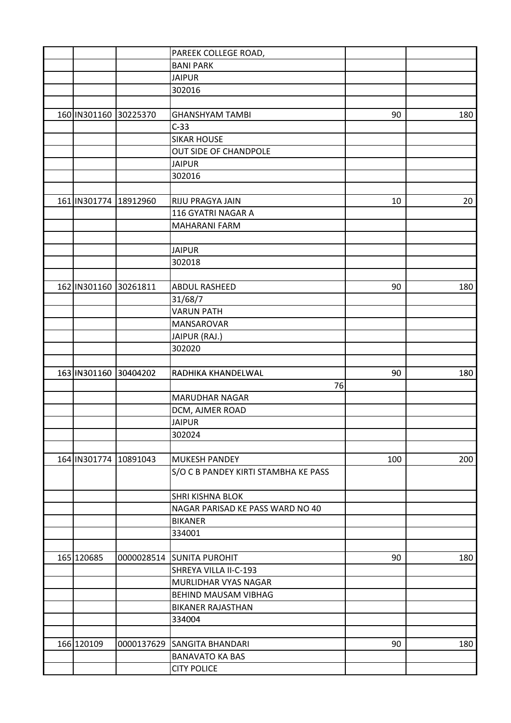|                       |            | PAREEK COLLEGE ROAD,                 |     |     |
|-----------------------|------------|--------------------------------------|-----|-----|
|                       |            | <b>BANI PARK</b>                     |     |     |
|                       |            | <b>JAIPUR</b>                        |     |     |
|                       |            | 302016                               |     |     |
|                       |            |                                      |     |     |
| 160 IN301160 30225370 |            | <b>GHANSHYAM TAMBI</b>               | 90  | 180 |
|                       |            | $C-33$                               |     |     |
|                       |            | <b>SIKAR HOUSE</b>                   |     |     |
|                       |            | OUT SIDE OF CHANDPOLE                |     |     |
|                       |            | <b>JAIPUR</b>                        |     |     |
|                       |            | 302016                               |     |     |
|                       |            |                                      |     |     |
| 161 IN301774          | 18912960   | RIJU PRAGYA JAIN                     | 10  | 20  |
|                       |            | 116 GYATRI NAGAR A                   |     |     |
|                       |            | <b>MAHARANI FARM</b>                 |     |     |
|                       |            |                                      |     |     |
|                       |            | <b>JAIPUR</b>                        |     |     |
|                       |            | 302018                               |     |     |
|                       |            |                                      |     |     |
| 162 IN301160          | 30261811   | <b>ABDUL RASHEED</b>                 | 90  | 180 |
|                       |            | 31/68/7                              |     |     |
|                       |            | <b>VARUN PATH</b>                    |     |     |
|                       |            | MANSAROVAR                           |     |     |
|                       |            | JAIPUR (RAJ.)                        |     |     |
|                       |            | 302020                               |     |     |
|                       |            |                                      |     |     |
| 163 IN301160 30404202 |            | RADHIKA KHANDELWAL                   | 90  | 180 |
|                       |            | 76                                   |     |     |
|                       |            | <b>MARUDHAR NAGAR</b>                |     |     |
|                       |            | DCM, AJMER ROAD                      |     |     |
|                       |            | <b>JAIPUR</b>                        |     |     |
|                       |            | 302024                               |     |     |
|                       |            |                                      |     |     |
| 164 IN301774 10891043 |            | <b>MUKESH PANDEY</b>                 | 100 | 200 |
|                       |            | S/O C B PANDEY KIRTI STAMBHA KE PASS |     |     |
|                       |            |                                      |     |     |
|                       |            | <b>SHRI KISHNA BLOK</b>              |     |     |
|                       |            | NAGAR PARISAD KE PASS WARD NO 40     |     |     |
|                       |            | <b>BIKANER</b>                       |     |     |
|                       |            | 334001                               |     |     |
|                       |            |                                      |     |     |
| 165 120685            |            | 0000028514 SUNITA PUROHIT            | 90  | 180 |
|                       |            | SHREYA VILLA II-C-193                |     |     |
|                       |            | MURLIDHAR VYAS NAGAR                 |     |     |
|                       |            | <b>BEHIND MAUSAM VIBHAG</b>          |     |     |
|                       |            | <b>BIKANER RAJASTHAN</b>             |     |     |
|                       |            | 334004                               |     |     |
|                       |            |                                      |     |     |
| 166 120109            | 0000137629 | <b>SANGITA BHANDARI</b>              | 90  | 180 |
|                       |            | <b>BANAVATO KA BAS</b>               |     |     |
|                       |            | <b>CITY POLICE</b>                   |     |     |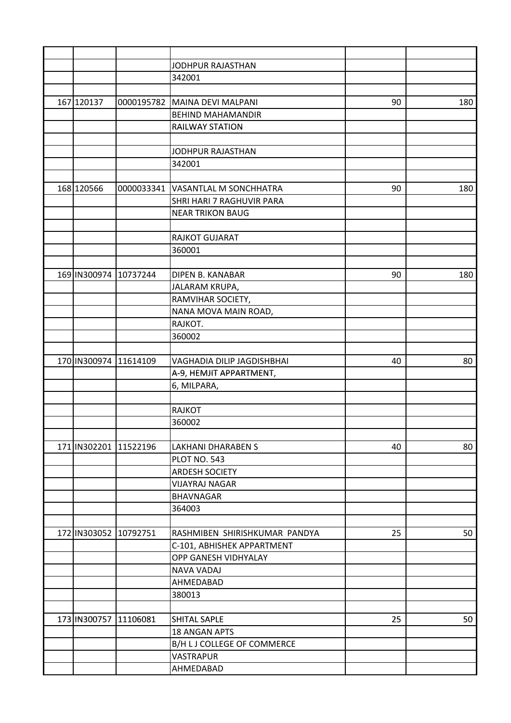|                       |                       | JODHPUR RAJASTHAN                   |    |     |
|-----------------------|-----------------------|-------------------------------------|----|-----|
|                       |                       | 342001                              |    |     |
|                       |                       |                                     |    |     |
| 167 120137            |                       | 0000195782 MAINA DEVI MALPANI       | 90 | 180 |
|                       |                       | <b>BEHIND MAHAMANDIR</b>            |    |     |
|                       |                       | <b>RAILWAY STATION</b>              |    |     |
|                       |                       |                                     |    |     |
|                       |                       | JODHPUR RAJASTHAN                   |    |     |
|                       |                       | 342001                              |    |     |
|                       |                       |                                     |    |     |
| 168 120566            |                       | 0000033341   VASANTLAL M SONCHHATRA | 90 | 180 |
|                       |                       | SHRI HARI 7 RAGHUVIR PARA           |    |     |
|                       |                       | <b>NEAR TRIKON BAUG</b>             |    |     |
|                       |                       |                                     |    |     |
|                       |                       | RAJKOT GUJARAT                      |    |     |
|                       |                       | 360001                              |    |     |
|                       |                       |                                     |    |     |
| 169 IN300974          | 10737244              | <b>DIPEN B. KANABAR</b>             | 90 | 180 |
|                       |                       | JALARAM KRUPA,                      |    |     |
|                       |                       | RAMVIHAR SOCIETY,                   |    |     |
|                       |                       | NANA MOVA MAIN ROAD,                |    |     |
|                       |                       | RAJKOT.                             |    |     |
|                       |                       | 360002                              |    |     |
|                       |                       |                                     |    |     |
| 170 IN300974          | 11614109              | VAGHADIA DILIP JAGDISHBHAI          | 40 | 80  |
|                       |                       | A-9, HEMJIT APPARTMENT,             |    |     |
|                       |                       | 6, MILPARA,                         |    |     |
|                       |                       |                                     |    |     |
|                       |                       | <b>RAJKOT</b>                       |    |     |
|                       |                       | 360002                              |    |     |
|                       |                       |                                     |    |     |
|                       | 171 IN302201 11522196 | <b>LAKHANI DHARABEN S</b>           | 40 | 80  |
|                       |                       | PLOT NO. 543                        |    |     |
|                       |                       | <b>ARDESH SOCIETY</b>               |    |     |
|                       |                       | <b>VIJAYRAJ NAGAR</b>               |    |     |
|                       |                       | <b>BHAVNAGAR</b>                    |    |     |
|                       |                       | 364003                              |    |     |
|                       |                       |                                     |    |     |
| 172 IN303052 10792751 |                       | RASHMIBEN SHIRISHKUMAR PANDYA       | 25 | 50  |
|                       |                       |                                     |    |     |
|                       |                       | C-101, ABHISHEK APPARTMENT          |    |     |
|                       |                       | OPP GANESH VIDHYALAY                |    |     |
|                       |                       | <b>NAVA VADAJ</b>                   |    |     |
|                       |                       | AHMEDABAD                           |    |     |
|                       |                       | 380013                              |    |     |
|                       |                       |                                     |    |     |
| 173 IN300757          | 11106081              | <b>SHITAL SAPLE</b>                 | 25 | 50  |
|                       |                       | <b>18 ANGAN APTS</b>                |    |     |
|                       |                       | B/H L J COLLEGE OF COMMERCE         |    |     |
|                       |                       | <b>VASTRAPUR</b>                    |    |     |
|                       |                       | AHMEDABAD                           |    |     |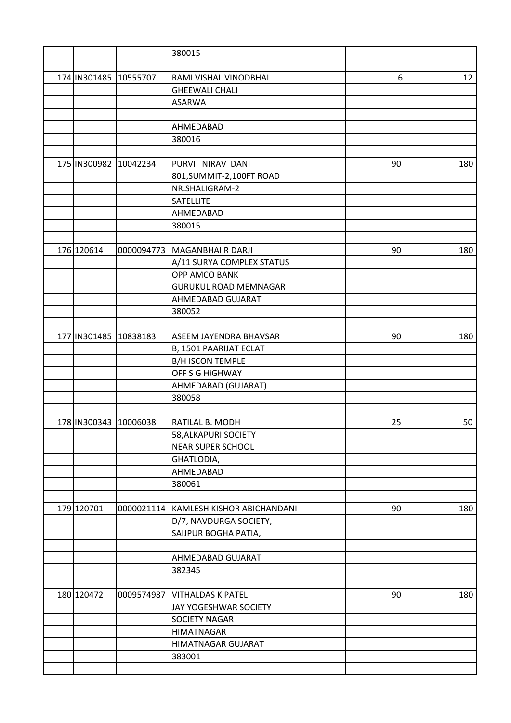|                       |            | 380015                         |    |     |
|-----------------------|------------|--------------------------------|----|-----|
|                       |            |                                |    |     |
| 174 IN301485 10555707 |            | RAMI VISHAL VINODBHAI          | 6  | 12  |
|                       |            | <b>GHEEWALI CHALI</b>          |    |     |
|                       |            | <b>ASARWA</b>                  |    |     |
|                       |            |                                |    |     |
|                       |            | AHMEDABAD                      |    |     |
|                       |            | 380016                         |    |     |
|                       |            |                                |    |     |
| 175 IN300982          | 10042234   | PURVI NIRAV DANI               | 90 | 180 |
|                       |            | 801, SUMMIT-2, 100FT ROAD      |    |     |
|                       |            | NR.SHALIGRAM-2                 |    |     |
|                       |            | <b>SATELLITE</b>               |    |     |
|                       |            | AHMEDABAD                      |    |     |
|                       |            | 380015                         |    |     |
|                       |            |                                |    |     |
| 176 120614            |            | 0000094773   MAGANBHAI R DARJI | 90 | 180 |
|                       |            | A/11 SURYA COMPLEX STATUS      |    |     |
|                       |            | OPP AMCO BANK                  |    |     |
|                       |            | <b>GURUKUL ROAD MEMNAGAR</b>   |    |     |
|                       |            | AHMEDABAD GUJARAT              |    |     |
|                       |            | 380052                         |    |     |
|                       |            |                                |    |     |
| 177 IN301485          | 10838183   | <b>ASEEM JAYENDRA BHAVSAR</b>  | 90 | 180 |
|                       |            | B, 1501 PAARIJAT ECLAT         |    |     |
|                       |            | <b>B/H ISCON TEMPLE</b>        |    |     |
|                       |            | OFF S G HIGHWAY                |    |     |
|                       |            | AHMEDABAD (GUJARAT)            |    |     |
|                       |            | 380058                         |    |     |
|                       |            |                                |    |     |
| 178 IN300343 10006038 |            | RATILAL B. MODH                | 25 | 50  |
|                       |            | 58, ALKAPURI SOCIETY           |    |     |
|                       |            | <b>NEAR SUPER SCHOOL</b>       |    |     |
|                       |            | GHATLODIA,                     |    |     |
|                       |            | AHMEDABAD                      |    |     |
|                       |            | 380061                         |    |     |
|                       |            |                                |    |     |
| 179 120701            | 0000021114 | KAMLESH KISHOR ABICHANDANI     | 90 | 180 |
|                       |            | D/7, NAVDURGA SOCIETY,         |    |     |
|                       |            | SAIJPUR BOGHA PATIA,           |    |     |
|                       |            |                                |    |     |
|                       |            | AHMEDABAD GUJARAT              |    |     |
|                       |            | 382345                         |    |     |
|                       |            |                                |    |     |
| 180 120472            | 0009574987 | <b>VITHALDAS K PATEL</b>       | 90 | 180 |
|                       |            | JAY YOGESHWAR SOCIETY          |    |     |
|                       |            | <b>SOCIETY NAGAR</b>           |    |     |
|                       |            | <b>HIMATNAGAR</b>              |    |     |
|                       |            | HIMATNAGAR GUJARAT             |    |     |
|                       |            | 383001                         |    |     |
|                       |            |                                |    |     |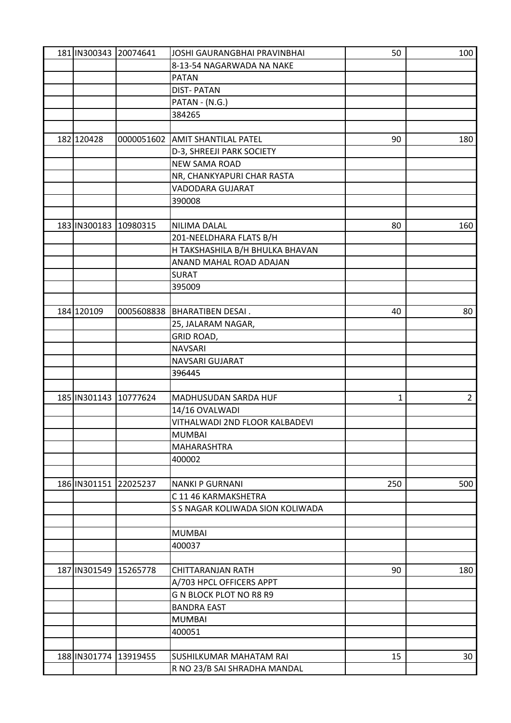| 181 IN300343 20074641 |          | JOSHI GAURANGBHAI PRAVINBHAI     | 50  | 100            |
|-----------------------|----------|----------------------------------|-----|----------------|
|                       |          | 8-13-54 NAGARWADA NA NAKE        |     |                |
|                       |          | <b>PATAN</b>                     |     |                |
|                       |          | <b>DIST-PATAN</b>                |     |                |
|                       |          | PATAN - (N.G.)                   |     |                |
|                       |          | 384265                           |     |                |
|                       |          |                                  |     |                |
| 182 120428            |          | 0000051602 AMIT SHANTILAL PATEL  | 90  | 180            |
|                       |          | D-3, SHREEJI PARK SOCIETY        |     |                |
|                       |          | <b>NEW SAMA ROAD</b>             |     |                |
|                       |          | NR, CHANKYAPURI CHAR RASTA       |     |                |
|                       |          | VADODARA GUJARAT                 |     |                |
|                       |          | 390008                           |     |                |
|                       |          |                                  |     |                |
| 183 IN300183          | 10980315 | NILIMA DALAL                     | 80  | 160            |
|                       |          | 201-NEELDHARA FLATS B/H          |     |                |
|                       |          | H TAKSHASHILA B/H BHULKA BHAVAN  |     |                |
|                       |          | ANAND MAHAL ROAD ADAJAN          |     |                |
|                       |          |                                  |     |                |
|                       |          | <b>SURAT</b>                     |     |                |
|                       |          | 395009                           |     |                |
|                       |          |                                  |     |                |
| 184 120109            |          | 0005608838 BHARATIBEN DESAI.     | 40  | 80             |
|                       |          | 25, JALARAM NAGAR,               |     |                |
|                       |          | GRID ROAD,                       |     |                |
|                       |          | <b>NAVSARI</b>                   |     |                |
|                       |          | NAVSARI GUJARAT                  |     |                |
|                       |          | 396445                           |     |                |
|                       |          |                                  |     |                |
| 185 IN301143          | 10777624 | <b>MADHUSUDAN SARDA HUF</b>      | 1   | $\overline{2}$ |
|                       |          | 14/16 OVALWADI                   |     |                |
|                       |          | VITHALWADI 2ND FLOOR KALBADEVI   |     |                |
|                       |          | <b>MUMBAI</b>                    |     |                |
|                       |          | <b>MAHARASHTRA</b>               |     |                |
|                       |          | 400002                           |     |                |
|                       |          |                                  |     |                |
| 186 IN301151          | 22025237 | <b>NANKI P GURNANI</b>           | 250 | 500            |
|                       |          | C 11 46 KARMAKSHETRA             |     |                |
|                       |          | S S NAGAR KOLIWADA SION KOLIWADA |     |                |
|                       |          |                                  |     |                |
|                       |          | <b>MUMBAI</b>                    |     |                |
|                       |          | 400037                           |     |                |
|                       |          |                                  |     |                |
| 187 IN301549          | 15265778 | <b>CHITTARANJAN RATH</b>         | 90  | 180            |
|                       |          | A/703 HPCL OFFICERS APPT         |     |                |
|                       |          | G N BLOCK PLOT NO R8 R9          |     |                |
|                       |          | <b>BANDRA EAST</b>               |     |                |
|                       |          | <b>MUMBAI</b>                    |     |                |
|                       |          | 400051                           |     |                |
|                       |          |                                  |     |                |
| 188 IN301774          | 13919455 | <b>SUSHILKUMAR MAHATAM RAI</b>   | 15  | 30             |
|                       |          | R NO 23/B SAI SHRADHA MANDAL     |     |                |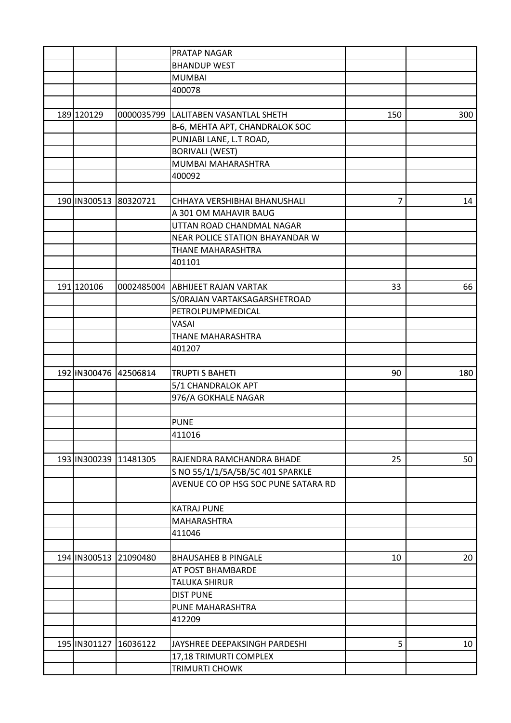|                       |            | <b>PRATAP NAGAR</b>                   |                |     |
|-----------------------|------------|---------------------------------------|----------------|-----|
|                       |            | <b>BHANDUP WEST</b>                   |                |     |
|                       |            | <b>MUMBAI</b>                         |                |     |
|                       |            | 400078                                |                |     |
|                       |            |                                       |                |     |
| 189 120129            |            | 0000035799  LALITABEN VASANTLAL SHETH | 150            | 300 |
|                       |            | B-6, MEHTA APT, CHANDRALOK SOC        |                |     |
|                       |            | PUNJABI LANE, L.T ROAD,               |                |     |
|                       |            | <b>BORIVALI (WEST)</b>                |                |     |
|                       |            | MUMBAI MAHARASHTRA                    |                |     |
|                       |            | 400092                                |                |     |
|                       |            |                                       |                |     |
| 190 IN300513 80320721 |            | CHHAYA VERSHIBHAI BHANUSHALI          | $\overline{7}$ | 14  |
|                       |            | A 301 OM MAHAVIR BAUG                 |                |     |
|                       |            | UTTAN ROAD CHANDMAL NAGAR             |                |     |
|                       |            | NEAR POLICE STATION BHAYANDAR W       |                |     |
|                       |            | THANE MAHARASHTRA                     |                |     |
|                       |            | 401101                                |                |     |
|                       |            |                                       |                |     |
| 191 120106            | 0002485004 | <b>ABHIJEET RAJAN VARTAK</b>          | 33             | 66  |
|                       |            | S/ORAJAN VARTAKSAGARSHETROAD          |                |     |
|                       |            | PETROLPUMPMEDICAL                     |                |     |
|                       |            | VASAI                                 |                |     |
|                       |            | THANE MAHARASHTRA                     |                |     |
|                       |            | 401207                                |                |     |
|                       |            |                                       |                |     |
| 192 IN300476 42506814 |            | <b>TRUPTI S BAHETI</b>                | 90             | 180 |
|                       |            | 5/1 CHANDRALOK APT                    |                |     |
|                       |            | 976/A GOKHALE NAGAR                   |                |     |
|                       |            |                                       |                |     |
|                       |            | <b>PUNE</b>                           |                |     |
|                       |            | 411016                                |                |     |
|                       |            |                                       |                |     |
| 193 IN300239 11481305 |            | RAJENDRA RAMCHANDRA BHADE             | 25             | 50  |
|                       |            | S NO 55/1/1/5A/5B/5C 401 SPARKLE      |                |     |
|                       |            | AVENUE CO OP HSG SOC PUNE SATARA RD   |                |     |
|                       |            |                                       |                |     |
|                       |            | <b>KATRAJ PUNE</b>                    |                |     |
|                       |            | <b>MAHARASHTRA</b>                    |                |     |
|                       |            | 411046                                |                |     |
|                       |            |                                       |                |     |
| 194 IN300513 21090480 |            | <b>BHAUSAHEB B PINGALE</b>            | 10             | 20  |
|                       |            | AT POST BHAMBARDE                     |                |     |
|                       |            | <b>TALUKA SHIRUR</b>                  |                |     |
|                       |            | <b>DIST PUNE</b>                      |                |     |
|                       |            | PUNE MAHARASHTRA                      |                |     |
|                       |            | 412209                                |                |     |
|                       |            |                                       |                |     |
| 195 IN301127          | 16036122   | JAYSHREE DEEPAKSINGH PARDESHI         | 5              | 10  |
|                       |            | 17,18 TRIMURTI COMPLEX                |                |     |
|                       |            | <b>TRIMURTI CHOWK</b>                 |                |     |
|                       |            |                                       |                |     |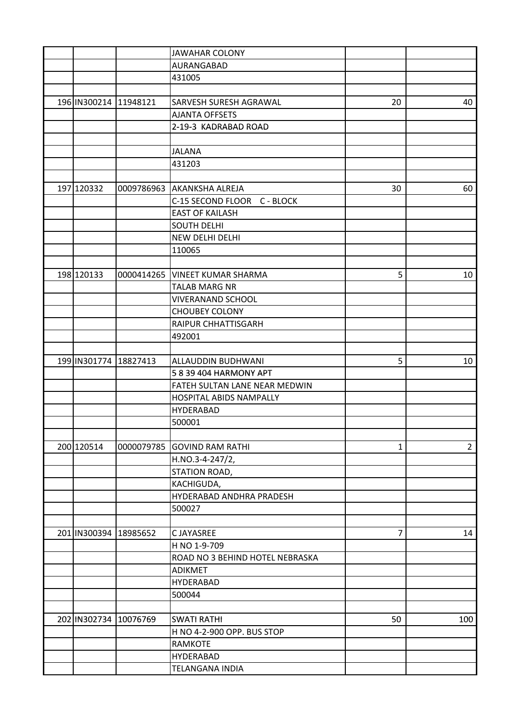|                           |            | <b>JAWAHAR COLONY</b>           |              |                |
|---------------------------|------------|---------------------------------|--------------|----------------|
|                           |            | AURANGABAD                      |              |                |
|                           |            | 431005                          |              |                |
|                           |            |                                 |              |                |
| 196 IN300214              | 11948121   | <b>SARVESH SURESH AGRAWAL</b>   | 20           | 40             |
|                           |            | <b>AJANTA OFFSETS</b>           |              |                |
|                           |            | 2-19-3 KADRABAD ROAD            |              |                |
|                           |            |                                 |              |                |
|                           |            | <b>JALANA</b>                   |              |                |
|                           |            | 431203                          |              |                |
|                           |            |                                 |              |                |
| 197 120332                |            | 0009786963 AKANKSHA ALREJA      | 30           | 60             |
|                           |            | C-15 SECOND FLOOR C - BLOCK     |              |                |
|                           |            | <b>EAST OF KAILASH</b>          |              |                |
|                           |            | <b>SOUTH DELHI</b>              |              |                |
|                           |            | NEW DELHI DELHI                 |              |                |
|                           |            | 110065                          |              |                |
|                           |            |                                 |              |                |
| 198 120133                | 0000414265 | <b>VINEET KUMAR SHARMA</b>      | 5            | 10             |
|                           |            | <b>TALAB MARG NR</b>            |              |                |
|                           |            | <b>VIVERANAND SCHOOL</b>        |              |                |
|                           |            | <b>CHOUBEY COLONY</b>           |              |                |
|                           |            | RAIPUR CHHATTISGARH             |              |                |
|                           |            | 492001                          |              |                |
|                           |            |                                 |              |                |
| 199 IN301774              |            |                                 | 5            |                |
|                           | 18827413   | ALLAUDDIN BUDHWANI              |              | 10             |
|                           |            | 5 8 39 404 HARMONY APT          |              |                |
|                           |            | FATEH SULTAN LANE NEAR MEDWIN   |              |                |
|                           |            | <b>HOSPITAL ABIDS NAMPALLY</b>  |              |                |
|                           |            | <b>HYDERABAD</b>                |              |                |
|                           |            | 500001                          |              |                |
|                           |            |                                 |              |                |
| 200 120514                | 0000079785 | <b>GOVIND RAM RATHI</b>         | $\mathbf{1}$ | $\overline{2}$ |
|                           |            | H.NO.3-4-247/2,                 |              |                |
|                           |            | STATION ROAD,                   |              |                |
|                           |            | KACHIGUDA,                      |              |                |
|                           |            | HYDERABAD ANDHRA PRADESH        |              |                |
|                           |            | 500027                          |              |                |
|                           |            |                                 |              |                |
| 201   IN300394   18985652 |            | <b>CJAYASREE</b>                | 7            | 14             |
|                           |            | H NO 1-9-709                    |              |                |
|                           |            | ROAD NO 3 BEHIND HOTEL NEBRASKA |              |                |
|                           |            | <b>ADIKMET</b>                  |              |                |
|                           |            | <b>HYDERABAD</b>                |              |                |
|                           |            | 500044                          |              |                |
|                           |            |                                 |              |                |
| 202 IN302734 10076769     |            | <b>SWATI RATHI</b>              | 50           | 100            |
|                           |            | H NO 4-2-900 OPP. BUS STOP      |              |                |
|                           |            | <b>RAMKOTE</b>                  |              |                |
|                           |            | <b>HYDERABAD</b>                |              |                |
|                           |            | <b>TELANGANA INDIA</b>          |              |                |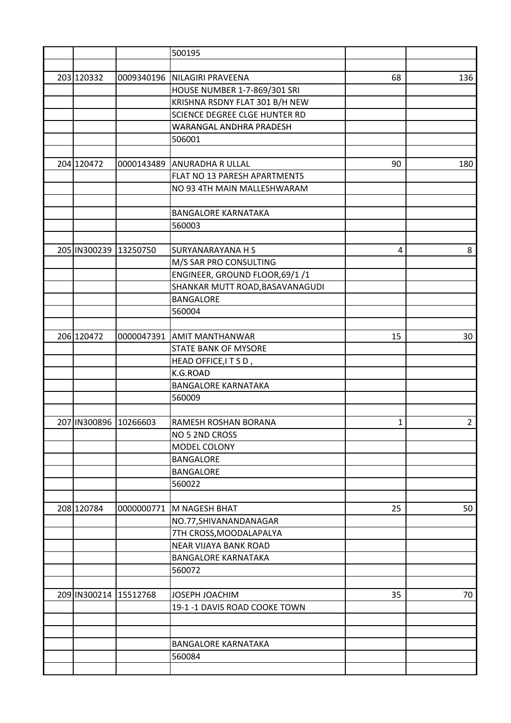|                       |            | 500195                          |    |                |
|-----------------------|------------|---------------------------------|----|----------------|
|                       |            |                                 |    |                |
| 203 120332            |            | 0009340196 NILAGIRI PRAVEENA    | 68 | 136            |
|                       |            | HOUSE NUMBER 1-7-869/301 SRI    |    |                |
|                       |            | KRISHNA RSDNY FLAT 301 B/H NEW  |    |                |
|                       |            | SCIENCE DEGREE CLGE HUNTER RD   |    |                |
|                       |            | WARANGAL ANDHRA PRADESH         |    |                |
|                       |            | 506001                          |    |                |
|                       |            |                                 |    |                |
| 204 120472            |            | 0000143489 ANURADHA R ULLAL     | 90 | 180            |
|                       |            | FLAT NO 13 PARESH APARTMENTS    |    |                |
|                       |            | NO 93 4TH MAIN MALLESHWARAM     |    |                |
|                       |            |                                 |    |                |
|                       |            | <b>BANGALORE KARNATAKA</b>      |    |                |
|                       |            | 560003                          |    |                |
|                       |            |                                 |    |                |
| 205 IN300239 13250750 |            | <b>SURYANARAYANA H S</b>        | 4  | 8              |
|                       |            | M/S SAR PRO CONSULTING          |    |                |
|                       |            | ENGINEER, GROUND FLOOR, 69/1 /1 |    |                |
|                       |            | SHANKAR MUTT ROAD, BASAVANAGUDI |    |                |
|                       |            |                                 |    |                |
|                       |            | <b>BANGALORE</b>                |    |                |
|                       |            | 560004                          |    |                |
|                       |            |                                 |    |                |
| 206 120472            |            | 0000047391 AMIT MANTHANWAR      | 15 | 30             |
|                       |            | <b>STATE BANK OF MYSORE</b>     |    |                |
|                       |            | HEAD OFFICE, ITSD,              |    |                |
|                       |            | K.G.ROAD                        |    |                |
|                       |            | <b>BANGALORE KARNATAKA</b>      |    |                |
|                       |            | 560009                          |    |                |
|                       |            |                                 |    |                |
| 207 IN300896 10266603 |            | RAMESH ROSHAN BORANA            | 1  | $\overline{2}$ |
|                       |            | NO 5 2ND CROSS                  |    |                |
|                       |            | MODEL COLONY                    |    |                |
|                       |            | <b>BANGALORE</b>                |    |                |
|                       |            | <b>BANGALORE</b>                |    |                |
|                       |            | 560022                          |    |                |
|                       |            |                                 |    |                |
| 208 120784            | 0000000771 | M NAGESH BHAT                   | 25 | 50             |
|                       |            | NO.77, SHIVANANDANAGAR          |    |                |
|                       |            | 7TH CROSS, MOODALAPALYA         |    |                |
|                       |            | <b>NEAR VIJAYA BANK ROAD</b>    |    |                |
|                       |            | <b>BANGALORE KARNATAKA</b>      |    |                |
|                       |            | 560072                          |    |                |
|                       |            |                                 |    |                |
| 209 IN300214 15512768 |            | JOSEPH JOACHIM                  | 35 | 70             |
|                       |            | 19-1 -1 DAVIS ROAD COOKE TOWN   |    |                |
|                       |            |                                 |    |                |
|                       |            |                                 |    |                |
|                       |            | <b>BANGALORE KARNATAKA</b>      |    |                |
|                       |            | 560084                          |    |                |
|                       |            |                                 |    |                |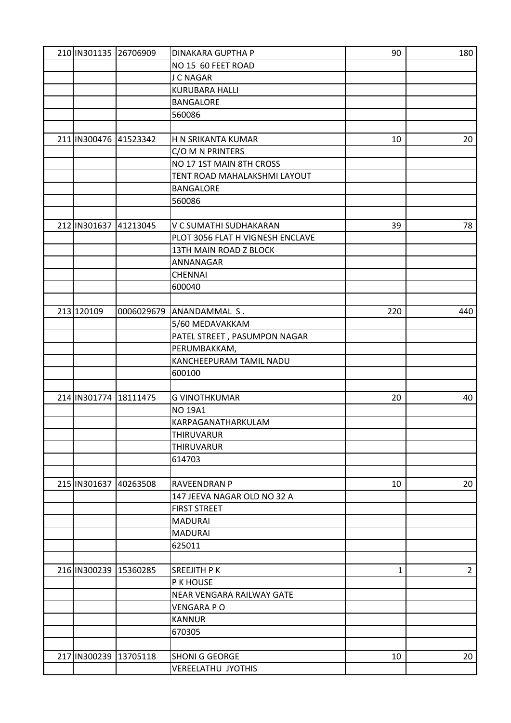| 210 IN301135 26706909 |          | <b>DINAKARA GUPTHA P</b>         | 90  | 180            |
|-----------------------|----------|----------------------------------|-----|----------------|
|                       |          | NO 15 60 FEET ROAD               |     |                |
|                       |          | <b>J C NAGAR</b>                 |     |                |
|                       |          | <b>KURUBARA HALLI</b>            |     |                |
|                       |          | <b>BANGALORE</b>                 |     |                |
|                       |          | 560086                           |     |                |
|                       |          |                                  |     |                |
| 211 IN300476 41523342 |          | H N SRIKANTA KUMAR               | 10  | 20             |
|                       |          | C/O M N PRINTERS                 |     |                |
|                       |          | NO 17 1ST MAIN 8TH CROSS         |     |                |
|                       |          | TENT ROAD MAHALAKSHMI LAYOUT     |     |                |
|                       |          | <b>BANGALORE</b>                 |     |                |
|                       |          | 560086                           |     |                |
|                       |          |                                  |     |                |
| 212 IN301637          | 41213045 | V C SUMATHI SUDHAKARAN           | 39  | 78             |
|                       |          |                                  |     |                |
|                       |          | PLOT 3056 FLAT H VIGNESH ENCLAVE |     |                |
|                       |          | 13TH MAIN ROAD Z BLOCK           |     |                |
|                       |          | ANNANAGAR                        |     |                |
|                       |          | <b>CHENNAI</b>                   |     |                |
|                       |          | 600040                           |     |                |
|                       |          |                                  |     |                |
| 213 120109            |          | 0006029679 ANANDAMMAL S.         | 220 | 440            |
|                       |          | 5/60 MEDAVAKKAM                  |     |                |
|                       |          | PATEL STREET, PASUMPON NAGAR     |     |                |
|                       |          | PERUMBAKKAM,                     |     |                |
|                       |          | KANCHEEPURAM TAMIL NADU          |     |                |
|                       |          | 600100                           |     |                |
|                       |          |                                  |     |                |
| 214 IN301774          | 18111475 | <b>G VINOTHKUMAR</b>             | 20  | 40             |
|                       |          | <b>NO 19A1</b>                   |     |                |
|                       |          | KARPAGANATHARKULAM               |     |                |
|                       |          | THIRUVARUR                       |     |                |
|                       |          | <b>THIRUVARUR</b>                |     |                |
|                       |          | 614703                           |     |                |
|                       |          |                                  |     |                |
| 215 IN301637          | 40263508 | <b>RAVEENDRAN P</b>              | 10  | 20             |
|                       |          | 147 JEEVA NAGAR OLD NO 32 A      |     |                |
|                       |          | <b>FIRST STREET</b>              |     |                |
|                       |          | <b>MADURAI</b>                   |     |                |
|                       |          |                                  |     |                |
|                       |          | <b>MADURAI</b>                   |     |                |
|                       |          | 625011                           |     |                |
|                       |          |                                  |     |                |
| 216 IN300239 15360285 |          | <b>SREEJITH PK</b>               | 1   | $\overline{2}$ |
|                       |          | P K HOUSE                        |     |                |
|                       |          | NEAR VENGARA RAILWAY GATE        |     |                |
|                       |          | <b>VENGARA PO</b>                |     |                |
|                       |          | <b>KANNUR</b>                    |     |                |
|                       |          | 670305                           |     |                |
|                       |          |                                  |     |                |
| 217 IN300239 13705118 |          | <b>SHONI G GEORGE</b>            | 10  | 20             |
|                       |          | <b>VEREELATHU JYOTHIS</b>        |     |                |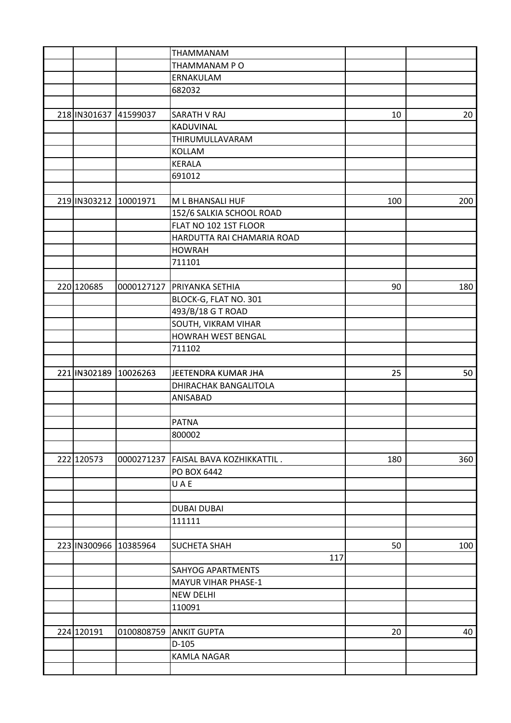|                       |          | THAMMANAM                              |     |     |
|-----------------------|----------|----------------------------------------|-----|-----|
|                       |          | THAMMANAM PO                           |     |     |
|                       |          | <b>ERNAKULAM</b>                       |     |     |
|                       |          | 682032                                 |     |     |
|                       |          |                                        |     |     |
| 218 IN301637 41599037 |          | <b>SARATH V RAJ</b>                    | 10  | 20  |
|                       |          | KADUVINAL                              |     |     |
|                       |          | THIRUMULLAVARAM                        |     |     |
|                       |          | <b>KOLLAM</b>                          |     |     |
|                       |          | <b>KERALA</b>                          |     |     |
|                       |          | 691012                                 |     |     |
|                       |          |                                        |     |     |
| 219 IN303212          | 10001971 | M L BHANSALI HUF                       | 100 | 200 |
|                       |          | 152/6 SALKIA SCHOOL ROAD               |     |     |
|                       |          | FLAT NO 102 1ST FLOOR                  |     |     |
|                       |          | HARDUTTA RAI CHAMARIA ROAD             |     |     |
|                       |          | <b>HOWRAH</b>                          |     |     |
|                       |          | 711101                                 |     |     |
|                       |          |                                        |     |     |
| 220 120685            |          | 0000127127 PRIYANKA SETHIA             | 90  | 180 |
|                       |          | BLOCK-G, FLAT NO. 301                  |     |     |
|                       |          | 493/B/18 G T ROAD                      |     |     |
|                       |          | SOUTH, VIKRAM VIHAR                    |     |     |
|                       |          | <b>HOWRAH WEST BENGAL</b>              |     |     |
|                       |          | 711102                                 |     |     |
|                       |          |                                        |     |     |
| 221 IN302189 10026263 |          | JEETENDRA KUMAR JHA                    | 25  | 50  |
|                       |          | <b>DHIRACHAK BANGALITOLA</b>           |     |     |
|                       |          | ANISABAD                               |     |     |
|                       |          |                                        |     |     |
|                       |          | <b>PATNA</b>                           |     |     |
|                       |          | 800002                                 |     |     |
|                       |          |                                        |     |     |
| 222 120573            |          | 0000271237   FAISAL BAVA KOZHIKKATTIL. | 180 | 360 |
|                       |          | PO BOX 6442                            |     |     |
|                       |          | U A E                                  |     |     |
|                       |          |                                        |     |     |
|                       |          | <b>DUBAI DUBAI</b>                     |     |     |
|                       |          | 111111                                 |     |     |
|                       |          |                                        |     |     |
| 223 IN300966          | 10385964 | <b>SUCHETA SHAH</b>                    | 50  | 100 |
|                       |          | 117                                    |     |     |
|                       |          | <b>SAHYOG APARTMENTS</b>               |     |     |
|                       |          | <b>MAYUR VIHAR PHASE-1</b>             |     |     |
|                       |          | <b>NEW DELHI</b>                       |     |     |
|                       |          | 110091                                 |     |     |
|                       |          |                                        |     |     |
| 224 120191            |          | 0100808759 ANKIT GUPTA                 | 20  | 40  |
|                       |          | $D-105$                                |     |     |
|                       |          | <b>KAMLA NAGAR</b>                     |     |     |
|                       |          |                                        |     |     |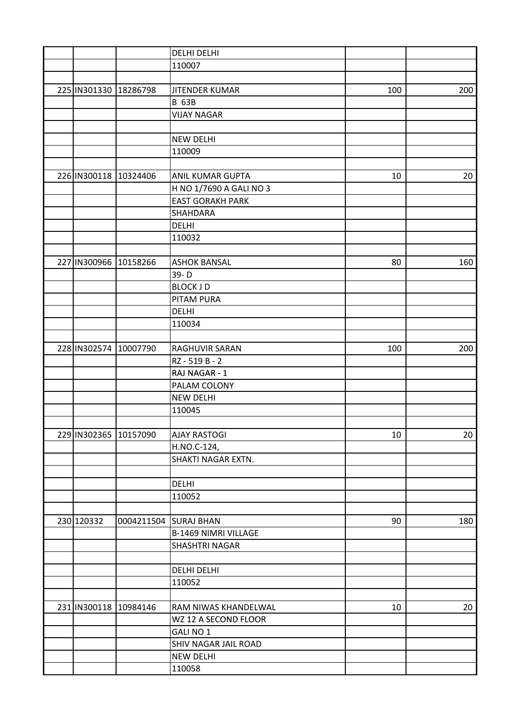|                       |          | <b>DELHI DELHI</b>          |     |     |
|-----------------------|----------|-----------------------------|-----|-----|
|                       |          | 110007                      |     |     |
|                       |          |                             |     |     |
| 225 IN301330 18286798 |          | <b>JITENDER KUMAR</b>       | 100 | 200 |
|                       |          | <b>B 63B</b>                |     |     |
|                       |          | <b>VIJAY NAGAR</b>          |     |     |
|                       |          |                             |     |     |
|                       |          | <b>NEW DELHI</b>            |     |     |
|                       |          | 110009                      |     |     |
|                       |          |                             |     |     |
| 226 IN300118 10324406 |          | <b>ANIL KUMAR GUPTA</b>     | 10  | 20  |
|                       |          | H NO 1/7690 A GALI NO 3     |     |     |
|                       |          | <b>EAST GORAKH PARK</b>     |     |     |
|                       |          | SHAHDARA                    |     |     |
|                       |          | <b>DELHI</b>                |     |     |
|                       |          |                             |     |     |
|                       |          | 110032                      |     |     |
|                       |          |                             |     |     |
| 227 IN300966 10158266 |          | <b>ASHOK BANSAL</b>         | 80  | 160 |
|                       |          | 39-D                        |     |     |
|                       |          | <b>BLOCK JD</b>             |     |     |
|                       |          | <b>PITAM PURA</b>           |     |     |
|                       |          | <b>DELHI</b>                |     |     |
|                       |          | 110034                      |     |     |
|                       |          |                             |     |     |
| 228 IN302574          | 10007790 | RAGHUVIR SARAN              | 100 | 200 |
|                       |          | RZ - 519 B - 2              |     |     |
|                       |          | RAJ NAGAR - 1               |     |     |
|                       |          | PALAM COLONY                |     |     |
|                       |          | <b>NEW DELHI</b>            |     |     |
|                       |          | 110045                      |     |     |
|                       |          |                             |     |     |
| 229 IN302365 10157090 |          | <b>AJAY RASTOGI</b>         | 10  | 20  |
|                       |          | H.NO.C-124,                 |     |     |
|                       |          | SHAKTI NAGAR EXTN.          |     |     |
|                       |          |                             |     |     |
|                       |          | <b>DELHI</b>                |     |     |
|                       |          | 110052                      |     |     |
|                       |          |                             |     |     |
| 230 120332            |          | 0004211504 SURAJ BHAN       | 90  | 180 |
|                       |          | <b>B-1469 NIMRI VILLAGE</b> |     |     |
|                       |          | <b>SHASHTRI NAGAR</b>       |     |     |
|                       |          |                             |     |     |
|                       |          | <b>DELHI DELHI</b>          |     |     |
|                       |          | 110052                      |     |     |
|                       |          |                             |     |     |
| 231 IN300118 10984146 |          | RAM NIWAS KHANDELWAL        |     |     |
|                       |          |                             | 10  | 20  |
|                       |          | WZ 12 A SECOND FLOOR        |     |     |
|                       |          | <b>GALINO1</b>              |     |     |
|                       |          | SHIV NAGAR JAIL ROAD        |     |     |
|                       |          | <b>NEW DELHI</b>            |     |     |
|                       |          | 110058                      |     |     |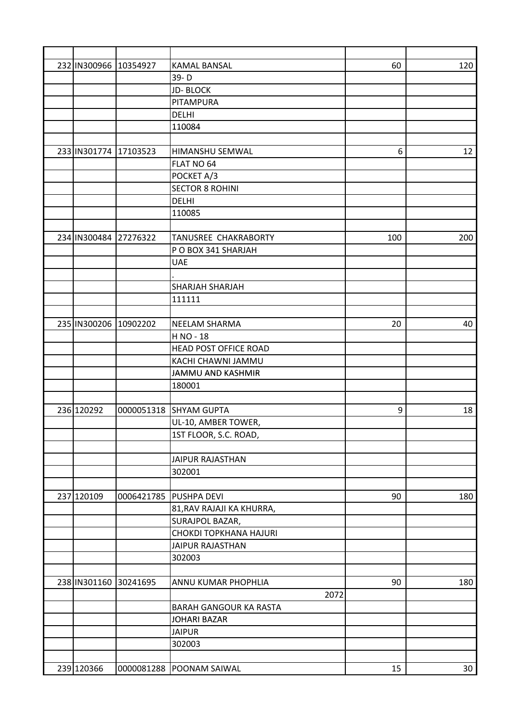| 232 IN300966 10354927 |            | <b>KAMAL BANSAL</b>           | 60  | 120 |
|-----------------------|------------|-------------------------------|-----|-----|
|                       |            | 39-D                          |     |     |
|                       |            | <b>JD-BLOCK</b>               |     |     |
|                       |            | PITAMPURA                     |     |     |
|                       |            | <b>DELHI</b>                  |     |     |
|                       |            | 110084                        |     |     |
|                       |            |                               |     |     |
| 233 IN301774          | 17103523   | <b>HIMANSHU SEMWAL</b>        | 6   | 12  |
|                       |            | FLAT NO 64                    |     |     |
|                       |            | POCKET A/3                    |     |     |
|                       |            | <b>SECTOR 8 ROHINI</b>        |     |     |
|                       |            | <b>DELHI</b>                  |     |     |
|                       |            | 110085                        |     |     |
|                       |            |                               |     |     |
| 234 IN300484 27276322 |            | TANUSREE CHAKRABORTY          | 100 | 200 |
|                       |            | P O BOX 341 SHARJAH           |     |     |
|                       |            | <b>UAE</b>                    |     |     |
|                       |            |                               |     |     |
|                       |            | <b>SHARJAH SHARJAH</b>        |     |     |
|                       |            | 111111                        |     |     |
|                       |            |                               |     |     |
| 235 IN300206 10902202 |            | <b>NEELAM SHARMA</b>          | 20  | 40  |
|                       |            | H NO - 18                     |     |     |
|                       |            | <b>HEAD POST OFFICE ROAD</b>  |     |     |
|                       |            |                               |     |     |
|                       |            | KACHI CHAWNI JAMMU            |     |     |
|                       |            | JAMMU AND KASHMIR             |     |     |
|                       |            | 180001                        |     |     |
| 236 120292            |            |                               |     |     |
|                       |            | 0000051318 SHYAM GUPTA        | 9   | 18  |
|                       |            | UL-10, AMBER TOWER,           |     |     |
|                       |            | 1ST FLOOR, S.C. ROAD,         |     |     |
|                       |            |                               |     |     |
|                       |            | <b>JAIPUR RAJASTHAN</b>       |     |     |
|                       |            | 302001                        |     |     |
|                       |            |                               |     |     |
| 237 120109            | 0006421785 | <b>PUSHPA DEVI</b>            | 90  | 180 |
|                       |            | 81, RAV RAJAJI KA KHURRA,     |     |     |
|                       |            | SURAJPOL BAZAR,               |     |     |
|                       |            | CHOKDI TOPKHANA HAJURI        |     |     |
|                       |            | <b>JAIPUR RAJASTHAN</b>       |     |     |
|                       |            | 302003                        |     |     |
|                       |            |                               |     |     |
| 238 IN301160 30241695 |            | ANNU KUMAR PHOPHLIA           | 90  | 180 |
|                       |            | 2072                          |     |     |
|                       |            | <b>BARAH GANGOUR KA RASTA</b> |     |     |
|                       |            | <b>JOHARI BAZAR</b>           |     |     |
|                       |            | <b>JAIPUR</b>                 |     |     |
|                       |            | 302003                        |     |     |
|                       |            |                               |     |     |
| 239 120366            |            | 0000081288 POONAM SAIWAL      | 15  | 30  |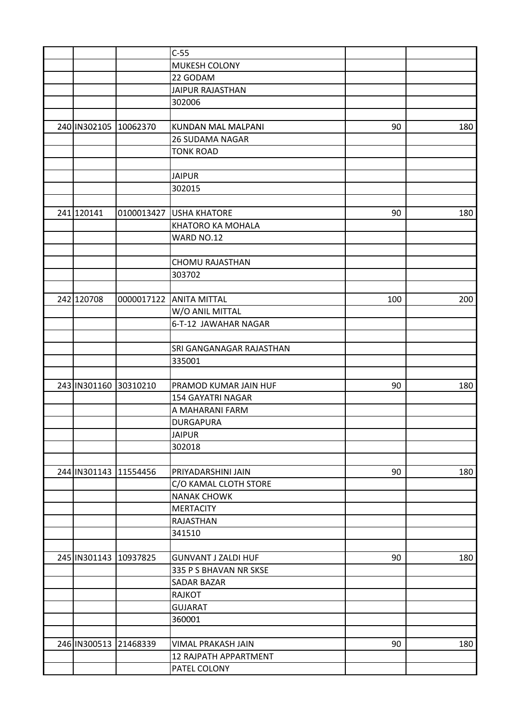|                       |            | $C-55$                     |     |     |
|-----------------------|------------|----------------------------|-----|-----|
|                       |            | <b>MUKESH COLONY</b>       |     |     |
|                       |            | 22 GODAM                   |     |     |
|                       |            | <b>JAIPUR RAJASTHAN</b>    |     |     |
|                       |            | 302006                     |     |     |
|                       |            |                            |     |     |
| 240 IN302105 10062370 |            | <b>KUNDAN MAL MALPANI</b>  | 90  | 180 |
|                       |            | <b>26 SUDAMA NAGAR</b>     |     |     |
|                       |            | <b>TONK ROAD</b>           |     |     |
|                       |            |                            |     |     |
|                       |            | <b>JAIPUR</b>              |     |     |
|                       |            | 302015                     |     |     |
|                       |            |                            |     |     |
| 241 120141            | 0100013427 | <b>USHA KHATORE</b>        | 90  | 180 |
|                       |            | <b>KHATORO KA MOHALA</b>   |     |     |
|                       |            | WARD NO.12                 |     |     |
|                       |            |                            |     |     |
|                       |            | <b>CHOMU RAJASTHAN</b>     |     |     |
|                       |            | 303702                     |     |     |
|                       |            |                            |     |     |
| 242 120708            |            | 0000017122 ANITA MITTAL    | 100 | 200 |
|                       |            | W/O ANIL MITTAL            |     |     |
|                       |            | 6-T-12 JAWAHAR NAGAR       |     |     |
|                       |            |                            |     |     |
|                       |            | SRI GANGANAGAR RAJASTHAN   |     |     |
|                       |            | 335001                     |     |     |
|                       |            |                            |     |     |
| 243 IN301160          | 30310210   | PRAMOD KUMAR JAIN HUF      | 90  | 180 |
|                       |            | <b>154 GAYATRI NAGAR</b>   |     |     |
|                       |            | A MAHARANI FARM            |     |     |
|                       |            | <b>DURGAPURA</b>           |     |     |
|                       |            |                            |     |     |
|                       |            | <b>JAIPUR</b><br>302018    |     |     |
|                       |            |                            |     |     |
|                       |            |                            |     |     |
| 244 IN301143 11554456 |            | PRIYADARSHINI JAIN         | 90  | 180 |
|                       |            | C/O KAMAL CLOTH STORE      |     |     |
|                       |            | <b>NANAK CHOWK</b>         |     |     |
|                       |            | <b>MERTACITY</b>           |     |     |
|                       |            | <b>RAJASTHAN</b>           |     |     |
|                       |            | 341510                     |     |     |
|                       |            |                            |     |     |
| 245 IN301143 10937825 |            | <b>GUNVANT J ZALDI HUF</b> | 90  | 180 |
|                       |            | 335 P S BHAVAN NR SKSE     |     |     |
|                       |            | <b>SADAR BAZAR</b>         |     |     |
|                       |            | <b>RAJKOT</b>              |     |     |
|                       |            | <b>GUJARAT</b>             |     |     |
|                       |            | 360001                     |     |     |
|                       |            |                            |     |     |
| 246 IN300513 21468339 |            | VIMAL PRAKASH JAIN         | 90  | 180 |
|                       |            | 12 RAJPATH APPARTMENT      |     |     |
|                       |            | PATEL COLONY               |     |     |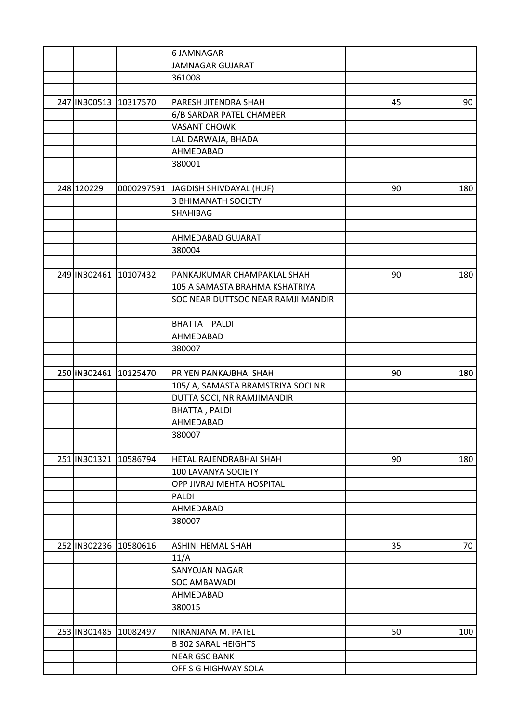|                       |          | <b>6 JAMNAGAR</b>                  |    |     |
|-----------------------|----------|------------------------------------|----|-----|
|                       |          | <b>JAMNAGAR GUJARAT</b>            |    |     |
|                       |          | 361008                             |    |     |
|                       |          |                                    |    |     |
| 247 IN300513          | 10317570 | PARESH JITENDRA SHAH               | 45 | 90  |
|                       |          | 6/B SARDAR PATEL CHAMBER           |    |     |
|                       |          | <b>VASANT CHOWK</b>                |    |     |
|                       |          | LAL DARWAJA, BHADA                 |    |     |
|                       |          | AHMEDABAD                          |    |     |
|                       |          | 380001                             |    |     |
|                       |          |                                    |    |     |
| 248 120229            |          | 0000297591 JAGDISH SHIVDAYAL (HUF) | 90 | 180 |
|                       |          | <b>3 BHIMANATH SOCIETY</b>         |    |     |
|                       |          | <b>SHAHIBAG</b>                    |    |     |
|                       |          |                                    |    |     |
|                       |          | AHMEDABAD GUJARAT                  |    |     |
|                       |          | 380004                             |    |     |
|                       |          |                                    |    |     |
| 249 IN302461 10107432 |          | PANKAJKUMAR CHAMPAKLAL SHAH        | 90 | 180 |
|                       |          | 105 A SAMASTA BRAHMA KSHATRIYA     |    |     |
|                       |          | SOC NEAR DUTTSOC NEAR RAMJI MANDIR |    |     |
|                       |          |                                    |    |     |
|                       |          | <b>BHATTA</b><br>PALDI             |    |     |
|                       |          | AHMEDABAD                          |    |     |
|                       |          | 380007                             |    |     |
|                       |          |                                    |    |     |
| 250 IN302461 10125470 |          | PRIYEN PANKAJBHAI SHAH             | 90 | 180 |
|                       |          | 105/ A, SAMASTA BRAMSTRIYA SOCI NR |    |     |
|                       |          | DUTTA SOCI, NR RAMJIMANDIR         |    |     |
|                       |          | <b>BHATTA, PALDI</b>               |    |     |
|                       |          | AHMEDABAD                          |    |     |
|                       |          | 380007                             |    |     |
|                       |          |                                    |    |     |
| 251 IN301321 10586794 |          | HETAL RAJENDRABHAI SHAH            | 90 | 180 |
|                       |          | 100 LAVANYA SOCIETY                |    |     |
|                       |          | OPP JIVRAJ MEHTA HOSPITAL          |    |     |
|                       |          | PALDI                              |    |     |
|                       |          | AHMEDABAD                          |    |     |
|                       |          | 380007                             |    |     |
|                       |          |                                    |    |     |
| 252 IN302236 10580616 |          | <b>ASHINI HEMAL SHAH</b>           | 35 | 70  |
|                       |          | 11/A                               |    |     |
|                       |          | <b>SANYOJAN NAGAR</b>              |    |     |
|                       |          | <b>SOC AMBAWADI</b>                |    |     |
|                       |          | AHMEDABAD                          |    |     |
|                       |          | 380015                             |    |     |
|                       |          |                                    |    |     |
| 253 IN301485 10082497 |          | NIRANJANA M. PATEL                 | 50 | 100 |
|                       |          | <b>B 302 SARAL HEIGHTS</b>         |    |     |
|                       |          | <b>NEAR GSC BANK</b>               |    |     |
|                       |          | OFF S G HIGHWAY SOLA               |    |     |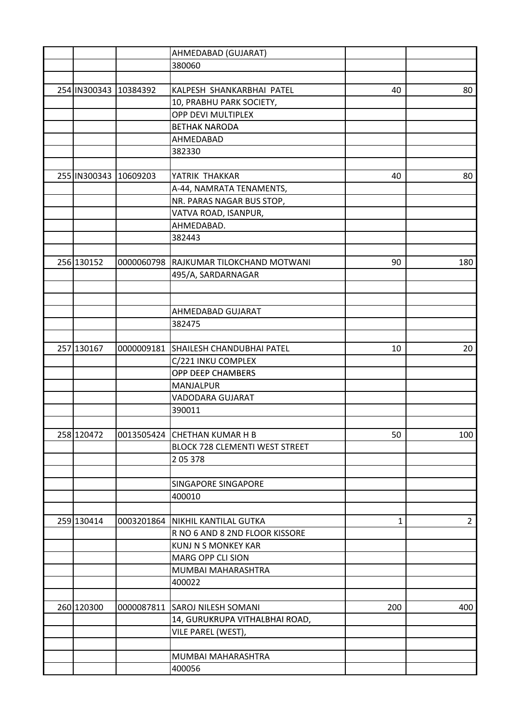|              |            | AHMEDABAD (GUJARAT)                    |              |                |
|--------------|------------|----------------------------------------|--------------|----------------|
|              |            | 380060                                 |              |                |
|              |            |                                        |              |                |
| 254 IN300343 | 10384392   | KALPESH SHANKARBHAI PATEL              | 40           | 80             |
|              |            | 10, PRABHU PARK SOCIETY,               |              |                |
|              |            | OPP DEVI MULTIPLEX                     |              |                |
|              |            | <b>BETHAK NARODA</b>                   |              |                |
|              |            | AHMEDABAD                              |              |                |
|              |            | 382330                                 |              |                |
|              |            |                                        |              |                |
| 255 IN300343 | 10609203   | YATRIK THAKKAR                         | 40           | 80             |
|              |            | A-44, NAMRATA TENAMENTS,               |              |                |
|              |            | NR. PARAS NAGAR BUS STOP,              |              |                |
|              |            | VATVA ROAD, ISANPUR,                   |              |                |
|              |            | AHMEDABAD.                             |              |                |
|              |            | 382443                                 |              |                |
|              |            |                                        |              |                |
|              |            |                                        |              |                |
| 256 130152   |            | 0000060798 RAJKUMAR TILOKCHAND MOTWANI | 90           | 180            |
|              |            | 495/A, SARDARNAGAR                     |              |                |
|              |            |                                        |              |                |
|              |            |                                        |              |                |
|              |            | AHMEDABAD GUJARAT                      |              |                |
|              |            | 382475                                 |              |                |
|              |            |                                        |              |                |
| 257 130167   | 0000009181 | SHAILESH CHANDUBHAI PATEL              | 10           | 20             |
|              |            | C/221 INKU COMPLEX                     |              |                |
|              |            | OPP DEEP CHAMBERS                      |              |                |
|              |            | <b>MANJALPUR</b>                       |              |                |
|              |            | VADODARA GUJARAT                       |              |                |
|              |            | 390011                                 |              |                |
|              |            |                                        |              |                |
| 258 120472   |            | 0013505424 CHETHAN KUMAR H B           | 50           | 100            |
|              |            | <b>BLOCK 728 CLEMENTI WEST STREET</b>  |              |                |
|              |            | 205378                                 |              |                |
|              |            |                                        |              |                |
|              |            | <b>SINGAPORE SINGAPORE</b>             |              |                |
|              |            | 400010                                 |              |                |
|              |            |                                        |              |                |
| 259 130414   |            | 0003201864   NIKHIL KANTILAL GUTKA     | $\mathbf{1}$ | $\overline{2}$ |
|              |            | R NO 6 AND 8 2ND FLOOR KISSORE         |              |                |
|              |            | <b>KUNJ N S MONKEY KAR</b>             |              |                |
|              |            | <b>MARG OPP CLI SION</b>               |              |                |
|              |            | MUMBAI MAHARASHTRA                     |              |                |
|              |            | 400022                                 |              |                |
|              |            |                                        |              |                |
| 260 120300   |            | 0000087811 SAROJ NILESH SOMANI         | 200          | 400            |
|              |            | 14, GURUKRUPA VITHALBHAI ROAD,         |              |                |
|              |            | VILE PAREL (WEST),                     |              |                |
|              |            |                                        |              |                |
|              |            | MUMBAI MAHARASHTRA                     |              |                |
|              |            | 400056                                 |              |                |
|              |            |                                        |              |                |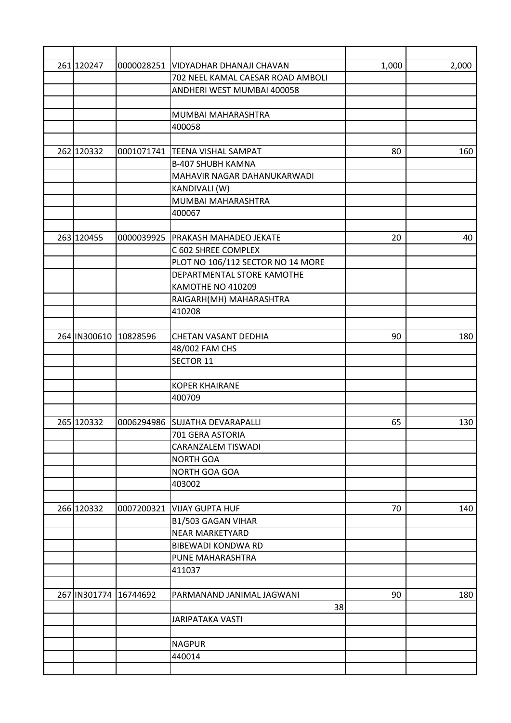|  | 261 120247            |          | 0000028251 VIDYADHAR DHANAJI CHAVAN | 1,000 | 2,000 |
|--|-----------------------|----------|-------------------------------------|-------|-------|
|  |                       |          | 702 NEEL KAMAL CAESAR ROAD AMBOLI   |       |       |
|  |                       |          | ANDHERI WEST MUMBAI 400058          |       |       |
|  |                       |          |                                     |       |       |
|  |                       |          | MUMBAI MAHARASHTRA                  |       |       |
|  |                       |          | 400058                              |       |       |
|  |                       |          |                                     |       |       |
|  | 262 120332            |          | 0001071741  TEENA VISHAL SAMPAT     | 80    | 160   |
|  |                       |          | <b>B-407 SHUBH KAMNA</b>            |       |       |
|  |                       |          | MAHAVIR NAGAR DAHANUKARWADI         |       |       |
|  |                       |          | KANDIVALI (W)                       |       |       |
|  |                       |          | MUMBAI MAHARASHTRA                  |       |       |
|  |                       |          | 400067                              |       |       |
|  |                       |          |                                     |       |       |
|  | 263 120455            |          | 0000039925   PRAKASH MAHADEO JEKATE | 20    | 40    |
|  |                       |          | C 602 SHREE COMPLEX                 |       |       |
|  |                       |          | PLOT NO 106/112 SECTOR NO 14 MORE   |       |       |
|  |                       |          | DEPARTMENTAL STORE KAMOTHE          |       |       |
|  |                       |          | KAMOTHE NO 410209                   |       |       |
|  |                       |          | RAIGARH(MH) MAHARASHTRA             |       |       |
|  |                       |          | 410208                              |       |       |
|  |                       |          |                                     |       |       |
|  | 264 IN300610          | 10828596 | CHETAN VASANT DEDHIA                | 90    | 180   |
|  |                       |          | 48/002 FAM CHS                      |       |       |
|  |                       |          | <b>SECTOR 11</b>                    |       |       |
|  |                       |          |                                     |       |       |
|  |                       |          | <b>KOPER KHAIRANE</b>               |       |       |
|  |                       |          | 400709                              |       |       |
|  |                       |          |                                     |       |       |
|  | 265 120332            |          | 0006294986 SUJATHA DEVARAPALLI      | 65    | 130   |
|  |                       |          | 701 GERA ASTORIA                    |       |       |
|  |                       |          | <b>CARANZALEM TISWADI</b>           |       |       |
|  |                       |          | <b>NORTH GOA</b>                    |       |       |
|  |                       |          | NORTH GOA GOA                       |       |       |
|  |                       |          | 403002                              |       |       |
|  |                       |          |                                     |       |       |
|  | 266 120332            |          | 0007200321 VIJAY GUPTA HUF          | 70    | 140   |
|  |                       |          | B1/503 GAGAN VIHAR                  |       |       |
|  |                       |          | <b>NEAR MARKETYARD</b>              |       |       |
|  |                       |          | <b>BIBEWADI KONDWA RD</b>           |       |       |
|  |                       |          | PUNE MAHARASHTRA                    |       |       |
|  |                       |          | 411037                              |       |       |
|  |                       |          |                                     |       |       |
|  | 267 IN301774 16744692 |          | PARMANAND JANIMAL JAGWANI           | 90    | 180   |
|  |                       |          | 38                                  |       |       |
|  |                       |          | <b>JARIPATAKA VASTI</b>             |       |       |
|  |                       |          |                                     |       |       |
|  |                       |          | <b>NAGPUR</b>                       |       |       |
|  |                       |          | 440014                              |       |       |
|  |                       |          |                                     |       |       |
|  |                       |          |                                     |       |       |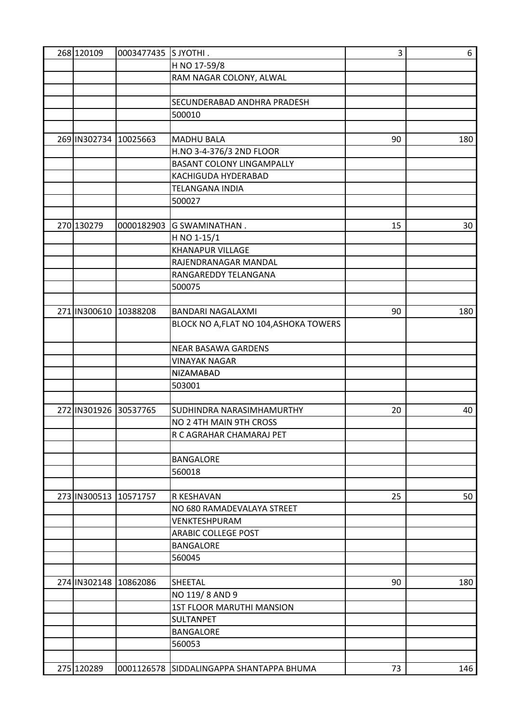|  | 268 120109            | 0003477435 SJYOTHI. |                                          | 3  | 6   |
|--|-----------------------|---------------------|------------------------------------------|----|-----|
|  |                       |                     | H NO 17-59/8                             |    |     |
|  |                       |                     | RAM NAGAR COLONY, ALWAL                  |    |     |
|  |                       |                     |                                          |    |     |
|  |                       |                     | SECUNDERABAD ANDHRA PRADESH              |    |     |
|  |                       |                     | 500010                                   |    |     |
|  |                       |                     |                                          |    |     |
|  | 269 IN302734          | 10025663            | <b>MADHU BALA</b>                        | 90 | 180 |
|  |                       |                     | H.NO 3-4-376/3 2ND FLOOR                 |    |     |
|  |                       |                     | <b>BASANT COLONY LINGAMPALLY</b>         |    |     |
|  |                       |                     | KACHIGUDA HYDERABAD                      |    |     |
|  |                       |                     | <b>TELANGANA INDIA</b>                   |    |     |
|  |                       |                     | 500027                                   |    |     |
|  |                       |                     |                                          |    |     |
|  | 270 130279            | 0000182903          |                                          | 15 |     |
|  |                       |                     | <b>G SWAMINATHAN.</b>                    |    | 30  |
|  |                       |                     | H NO 1-15/1                              |    |     |
|  |                       |                     | <b>KHANAPUR VILLAGE</b>                  |    |     |
|  |                       |                     | RAJENDRANAGAR MANDAL                     |    |     |
|  |                       |                     | RANGAREDDY TELANGANA                     |    |     |
|  |                       |                     | 500075                                   |    |     |
|  |                       |                     |                                          |    |     |
|  | 271 IN300610 10388208 |                     | <b>BANDARI NAGALAXMI</b>                 | 90 | 180 |
|  |                       |                     | BLOCK NO A, FLAT NO 104, ASHOKA TOWERS   |    |     |
|  |                       |                     | <b>NEAR BASAWA GARDENS</b>               |    |     |
|  |                       |                     | <b>VINAYAK NAGAR</b>                     |    |     |
|  |                       |                     | <b>NIZAMABAD</b>                         |    |     |
|  |                       |                     | 503001                                   |    |     |
|  |                       |                     |                                          |    |     |
|  | 272 IN301926          | 30537765            | SUDHINDRA NARASIMHAMURTHY                | 20 | 40  |
|  |                       |                     | NO 2 4TH MAIN 9TH CROSS                  |    |     |
|  |                       |                     | R C AGRAHAR CHAMARAJ PET                 |    |     |
|  |                       |                     |                                          |    |     |
|  |                       |                     | <b>BANGALORE</b>                         |    |     |
|  |                       |                     | 560018                                   |    |     |
|  |                       |                     |                                          |    |     |
|  | 273 IN300513 10571757 |                     | R KESHAVAN                               | 25 | 50  |
|  |                       |                     | NO 680 RAMADEVALAYA STREET               |    |     |
|  |                       |                     | VENKTESHPURAM                            |    |     |
|  |                       |                     | <b>ARABIC COLLEGE POST</b>               |    |     |
|  |                       |                     | <b>BANGALORE</b>                         |    |     |
|  |                       |                     |                                          |    |     |
|  |                       |                     | 560045                                   |    |     |
|  |                       |                     |                                          |    |     |
|  | 274 IN302148          | 10862086            | <b>SHEETAL</b>                           | 90 | 180 |
|  |                       |                     | NO 119/8 AND 9                           |    |     |
|  |                       |                     | <b>1ST FLOOR MARUTHI MANSION</b>         |    |     |
|  |                       |                     | <b>SULTANPET</b>                         |    |     |
|  |                       |                     | <b>BANGALORE</b>                         |    |     |
|  |                       |                     | 560053                                   |    |     |
|  |                       |                     |                                          |    |     |
|  | 275 120289            |                     | 0001126578 SIDDALINGAPPA SHANTAPPA BHUMA | 73 | 146 |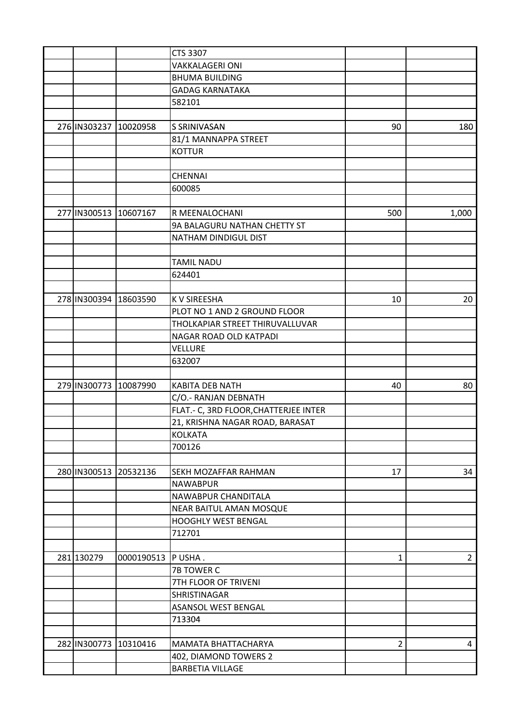|  |                       |                       | CTS 3307                              |                |                |
|--|-----------------------|-----------------------|---------------------------------------|----------------|----------------|
|  |                       |                       | <b>VAKKALAGERI ONI</b>                |                |                |
|  |                       |                       | <b>BHUMA BUILDING</b>                 |                |                |
|  |                       |                       | <b>GADAG KARNATAKA</b>                |                |                |
|  |                       |                       | 582101                                |                |                |
|  |                       |                       |                                       |                |                |
|  | 276 IN303237          | 10020958              | S SRINIVASAN                          | 90             | 180            |
|  |                       |                       | 81/1 MANNAPPA STREET                  |                |                |
|  |                       |                       | <b>KOTTUR</b>                         |                |                |
|  |                       |                       |                                       |                |                |
|  |                       |                       | CHENNAI                               |                |                |
|  |                       |                       | 600085                                |                |                |
|  |                       |                       |                                       |                |                |
|  | 277 IN300513          | 10607167              | R MEENALOCHANI                        | 500            | 1,000          |
|  |                       |                       | 9A BALAGURU NATHAN CHETTY ST          |                |                |
|  |                       |                       | NATHAM DINDIGUL DIST                  |                |                |
|  |                       |                       |                                       |                |                |
|  |                       |                       | <b>TAMIL NADU</b>                     |                |                |
|  |                       |                       | 624401                                |                |                |
|  |                       |                       |                                       |                |                |
|  | 278 IN300394 18603590 |                       | <b>KV SIREESHA</b>                    | 10             | 20             |
|  |                       |                       | PLOT NO 1 AND 2 GROUND FLOOR          |                |                |
|  |                       |                       | THOLKAPIAR STREET THIRUVALLUVAR       |                |                |
|  |                       |                       | NAGAR ROAD OLD KATPADI                |                |                |
|  |                       |                       | VELLURE                               |                |                |
|  |                       |                       | 632007                                |                |                |
|  |                       |                       |                                       |                |                |
|  | 279 IN300773          | 10087990              | KABITA DEB NATH                       | 40             | 80             |
|  |                       |                       | C/O.- RANJAN DEBNATH                  |                |                |
|  |                       |                       | FLAT.- C, 3RD FLOOR, CHATTERJEE INTER |                |                |
|  |                       |                       | 21, KRISHNA NAGAR ROAD, BARASAT       |                |                |
|  |                       |                       | <b>KOLKATA</b>                        |                |                |
|  |                       |                       | 700126                                |                |                |
|  |                       |                       |                                       |                |                |
|  |                       | 280 IN300513 20532136 | <b>SEKH MOZAFFAR RAHMAN</b>           | 17             | 34             |
|  |                       |                       | <b>NAWABPUR</b>                       |                |                |
|  |                       |                       | NAWABPUR CHANDITALA                   |                |                |
|  |                       |                       | NEAR BAITUL AMAN MOSQUE               |                |                |
|  |                       |                       | <b>HOOGHLY WEST BENGAL</b>            |                |                |
|  |                       |                       | 712701                                |                |                |
|  |                       |                       |                                       |                |                |
|  | 281 130279            | 0000190513  P USHA.   |                                       | 1              | $\overline{2}$ |
|  |                       |                       | <b>7B TOWER C</b>                     |                |                |
|  |                       |                       | 7TH FLOOR OF TRIVENI                  |                |                |
|  |                       |                       | SHRISTINAGAR                          |                |                |
|  |                       |                       | <b>ASANSOL WEST BENGAL</b>            |                |                |
|  |                       |                       | 713304                                |                |                |
|  |                       |                       |                                       |                |                |
|  | 282 IN300773          | 10310416              | <b>MAMATA BHATTACHARYA</b>            | $\overline{2}$ | 4              |
|  |                       |                       | 402, DIAMOND TOWERS 2                 |                |                |
|  |                       |                       | <b>BARBETIA VILLAGE</b>               |                |                |
|  |                       |                       |                                       |                |                |